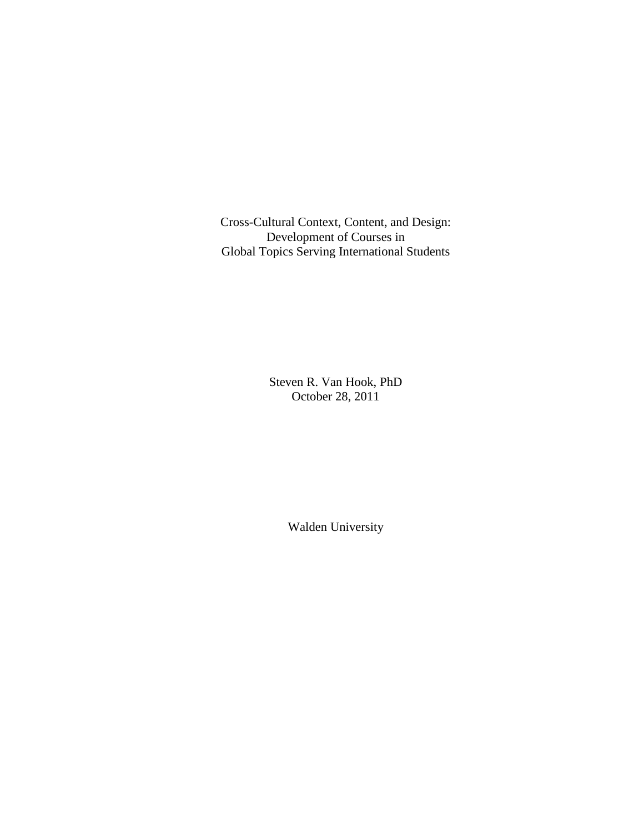Cross-Cultural Context, Content, and Design: Development of Courses in Global Topics Serving International Students

> Steven R. Van Hook, PhD October 28, 2011

> > Walden University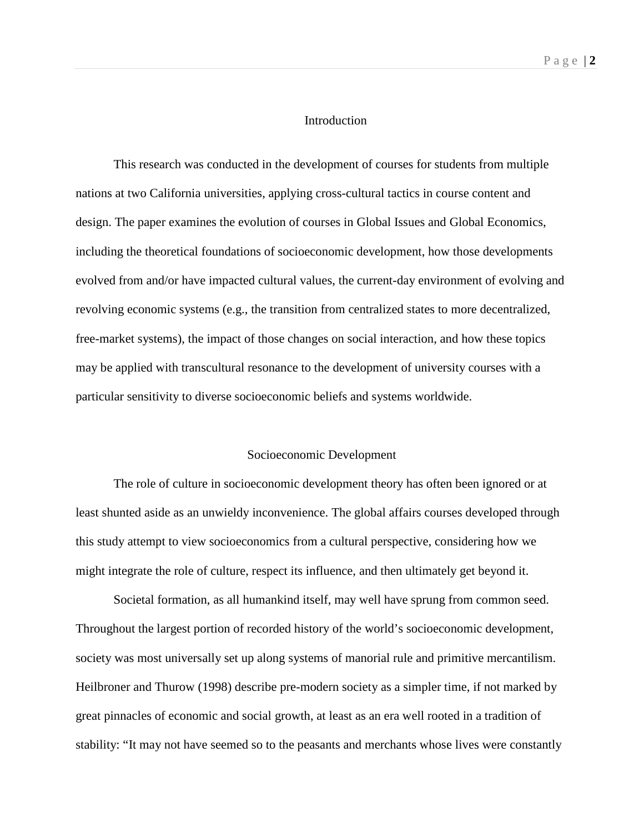#### Introduction

This research was conducted in the development of courses for students from multiple nations at two California universities, applying cross-cultural tactics in course content and design. The paper examines the evolution of courses in Global Issues and Global Economics, including the theoretical foundations of socioeconomic development, how those developments evolved from and/or have impacted cultural values, the current-day environment of evolving and revolving economic systems (e.g., the transition from centralized states to more decentralized, free-market systems), the impact of those changes on social interaction, and how these topics may be applied with transcultural resonance to the development of university courses with a particular sensitivity to diverse socioeconomic beliefs and systems worldwide.

#### Socioeconomic Development

The role of culture in socioeconomic development theory has often been ignored or at least shunted aside as an unwieldy inconvenience. The global affairs courses developed through this study attempt to view socioeconomics from a cultural perspective, considering how we might integrate the role of culture, respect its influence, and then ultimately get beyond it.

Societal formation, as all humankind itself, may well have sprung from common seed. Throughout the largest portion of recorded history of the world's socioeconomic development, society was most universally set up along systems of manorial rule and primitive mercantilism. Heilbroner and Thurow (1998) describe pre-modern society as a simpler time, if not marked by great pinnacles of economic and social growth, at least as an era well rooted in a tradition of stability: "It may not have seemed so to the peasants and merchants whose lives were constantly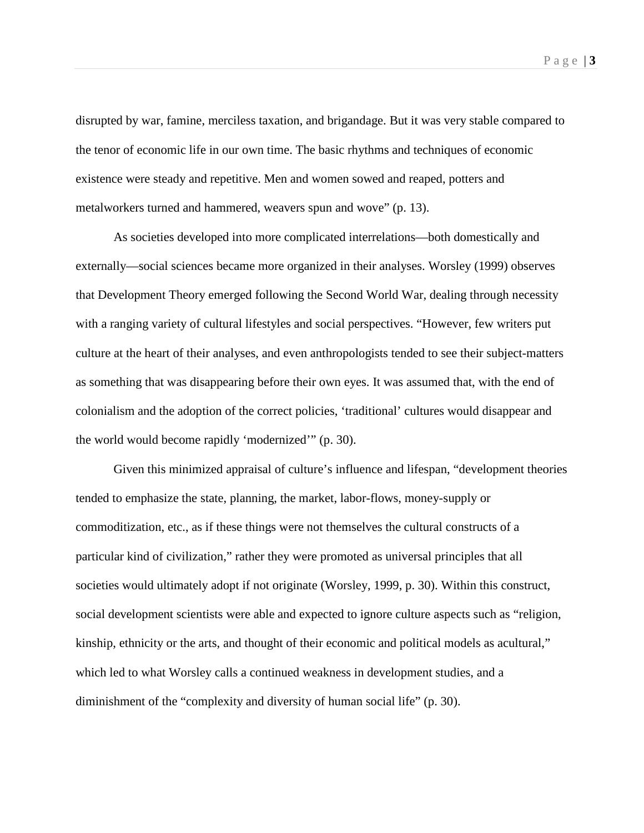disrupted by war, famine, merciless taxation, and brigandage. But it was very stable compared to the tenor of economic life in our own time. The basic rhythms and techniques of economic existence were steady and repetitive. Men and women sowed and reaped, potters and metalworkers turned and hammered, weavers spun and wove" (p. 13).

As societies developed into more complicated interrelations—both domestically and externally—social sciences became more organized in their analyses. Worsley (1999) observes that Development Theory emerged following the Second World War, dealing through necessity with a ranging variety of cultural lifestyles and social perspectives. "However, few writers put culture at the heart of their analyses, and even anthropologists tended to see their subject-matters as something that was disappearing before their own eyes. It was assumed that, with the end of colonialism and the adoption of the correct policies, 'traditional' cultures would disappear and the world would become rapidly 'modernized'" (p. 30).

Given this minimized appraisal of culture's influence and lifespan, "development theories tended to emphasize the state, planning, the market, labor-flows, money-supply or commoditization, etc., as if these things were not themselves the cultural constructs of a particular kind of civilization," rather they were promoted as universal principles that all societies would ultimately adopt if not originate (Worsley, 1999, p. 30). Within this construct, social development scientists were able and expected to ignore culture aspects such as "religion, kinship, ethnicity or the arts, and thought of their economic and political models as acultural," which led to what Worsley calls a continued weakness in development studies, and a diminishment of the "complexity and diversity of human social life" (p. 30).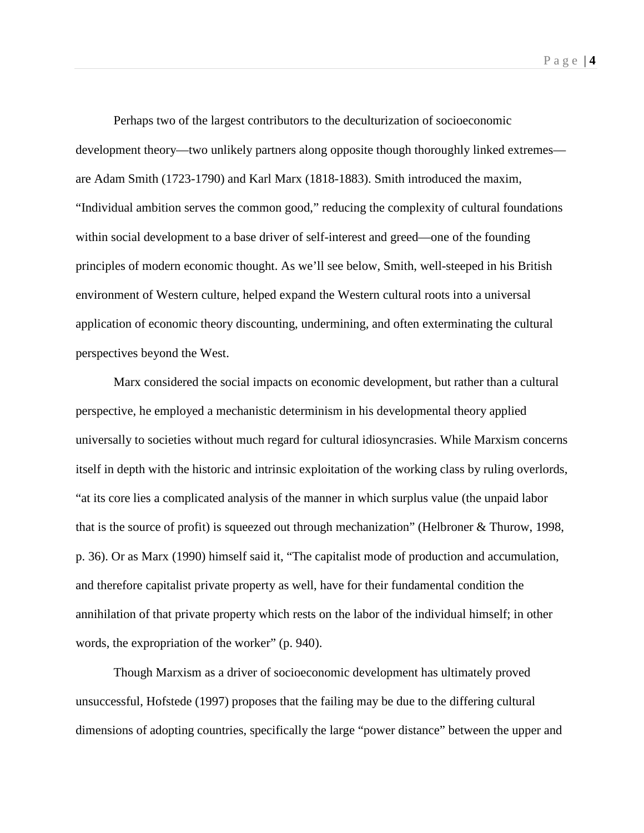Page | **4**

Perhaps two of the largest contributors to the deculturization of socioeconomic development theory—two unlikely partners along opposite though thoroughly linked extremes are Adam Smith (1723-1790) and Karl Marx (1818-1883). Smith introduced the maxim, "Individual ambition serves the common good," reducing the complexity of cultural foundations within social development to a base driver of self-interest and greed—one of the founding principles of modern economic thought. As we'll see below, Smith, well-steeped in his British environment of Western culture, helped expand the Western cultural roots into a universal application of economic theory discounting, undermining, and often exterminating the cultural perspectives beyond the West.

Marx considered the social impacts on economic development, but rather than a cultural perspective, he employed a mechanistic determinism in his developmental theory applied universally to societies without much regard for cultural idiosyncrasies. While Marxism concerns itself in depth with the historic and intrinsic exploitation of the working class by ruling overlords, "at its core lies a complicated analysis of the manner in which surplus value (the unpaid labor that is the source of profit) is squeezed out through mechanization" (Helbroner & Thurow, 1998, p. 36). Or as Marx (1990) himself said it, "The capitalist mode of production and accumulation, and therefore capitalist private property as well, have for their fundamental condition the annihilation of that private property which rests on the labor of the individual himself; in other words, the expropriation of the worker" (p. 940).

Though Marxism as a driver of socioeconomic development has ultimately proved unsuccessful, Hofstede (1997) proposes that the failing may be due to the differing cultural dimensions of adopting countries, specifically the large "power distance" between the upper and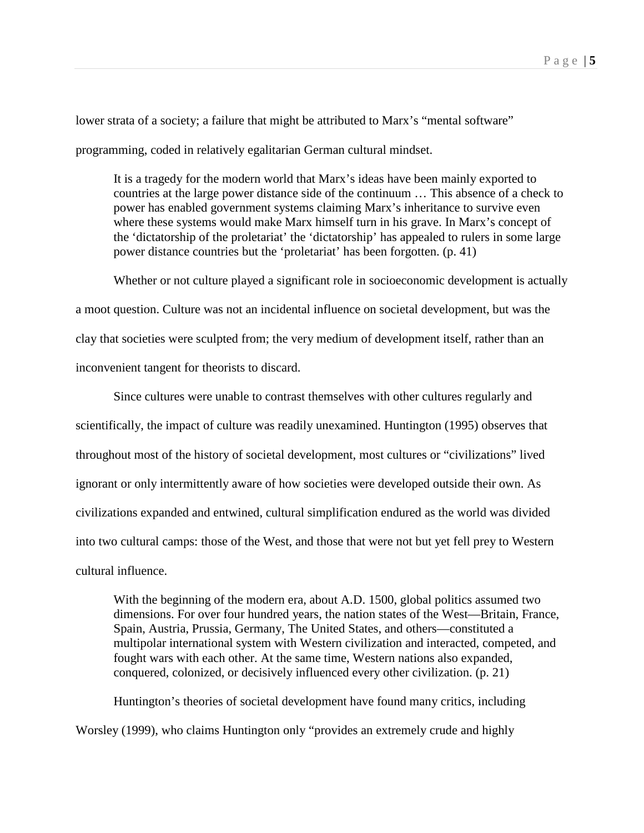lower strata of a society; a failure that might be attributed to Marx's "mental software" programming, coded in relatively egalitarian German cultural mindset.

It is a tragedy for the modern world that Marx's ideas have been mainly exported to countries at the large power distance side of the continuum … This absence of a check to power has enabled government systems claiming Marx's inheritance to survive even where these systems would make Marx himself turn in his grave. In Marx's concept of the 'dictatorship of the proletariat' the 'dictatorship' has appealed to rulers in some large power distance countries but the 'proletariat' has been forgotten. (p. 41)

Whether or not culture played a significant role in socioeconomic development is actually a moot question. Culture was not an incidental influence on societal development, but was the clay that societies were sculpted from; the very medium of development itself, rather than an inconvenient tangent for theorists to discard.

Since cultures were unable to contrast themselves with other cultures regularly and scientifically, the impact of culture was readily unexamined. Huntington (1995) observes that throughout most of the history of societal development, most cultures or "civilizations" lived ignorant or only intermittently aware of how societies were developed outside their own. As civilizations expanded and entwined, cultural simplification endured as the world was divided into two cultural camps: those of the West, and those that were not but yet fell prey to Western cultural influence.

With the beginning of the modern era, about A.D. 1500, global politics assumed two dimensions. For over four hundred years, the nation states of the West—Britain, France, Spain, Austria, Prussia, Germany, The United States, and others—constituted a multipolar international system with Western civilization and interacted, competed, and fought wars with each other. At the same time, Western nations also expanded, conquered, colonized, or decisively influenced every other civilization. (p. 21)

Huntington's theories of societal development have found many critics, including Worsley (1999), who claims Huntington only "provides an extremely crude and highly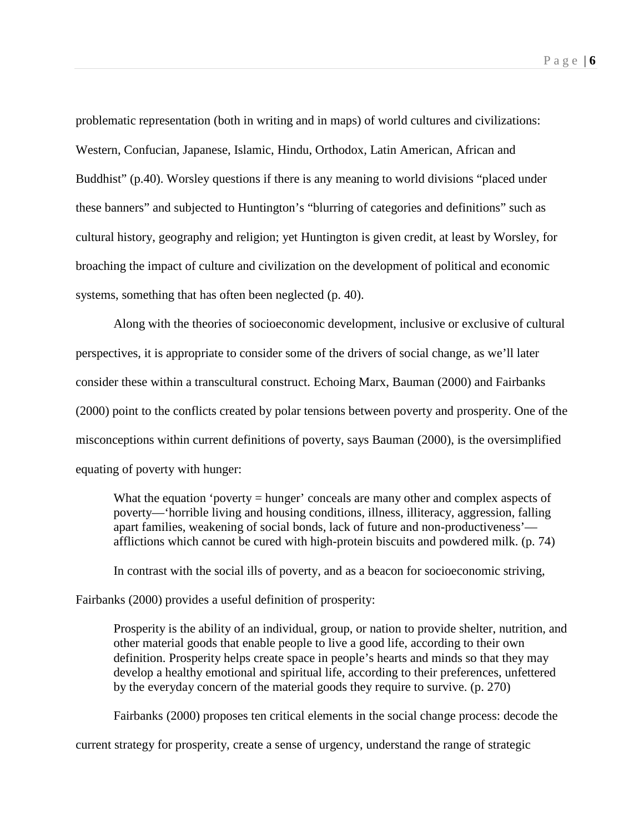problematic representation (both in writing and in maps) of world cultures and civilizations: Western, Confucian, Japanese, Islamic, Hindu, Orthodox, Latin American, African and Buddhist" (p.40). Worsley questions if there is any meaning to world divisions "placed under these banners" and subjected to Huntington's "blurring of categories and definitions" such as cultural history, geography and religion; yet Huntington is given credit, at least by Worsley, for broaching the impact of culture and civilization on the development of political and economic systems, something that has often been neglected (p. 40).

Along with the theories of socioeconomic development, inclusive or exclusive of cultural perspectives, it is appropriate to consider some of the drivers of social change, as we'll later consider these within a transcultural construct. Echoing Marx, Bauman (2000) and Fairbanks (2000) point to the conflicts created by polar tensions between poverty and prosperity. One of the misconceptions within current definitions of poverty, says Bauman (2000), is the oversimplified equating of poverty with hunger:

What the equation 'poverty = hunger' conceals are many other and complex aspects of poverty—'horrible living and housing conditions, illness, illiteracy, aggression, falling apart families, weakening of social bonds, lack of future and non-productiveness' afflictions which cannot be cured with high-protein biscuits and powdered milk. (p. 74)

In contrast with the social ills of poverty, and as a beacon for socioeconomic striving,

Fairbanks (2000) provides a useful definition of prosperity:

Prosperity is the ability of an individual, group, or nation to provide shelter, nutrition, and other material goods that enable people to live a good life, according to their own definition. Prosperity helps create space in people's hearts and minds so that they may develop a healthy emotional and spiritual life, according to their preferences, unfettered by the everyday concern of the material goods they require to survive. (p. 270)

Fairbanks (2000) proposes ten critical elements in the social change process: decode the

current strategy for prosperity, create a sense of urgency, understand the range of strategic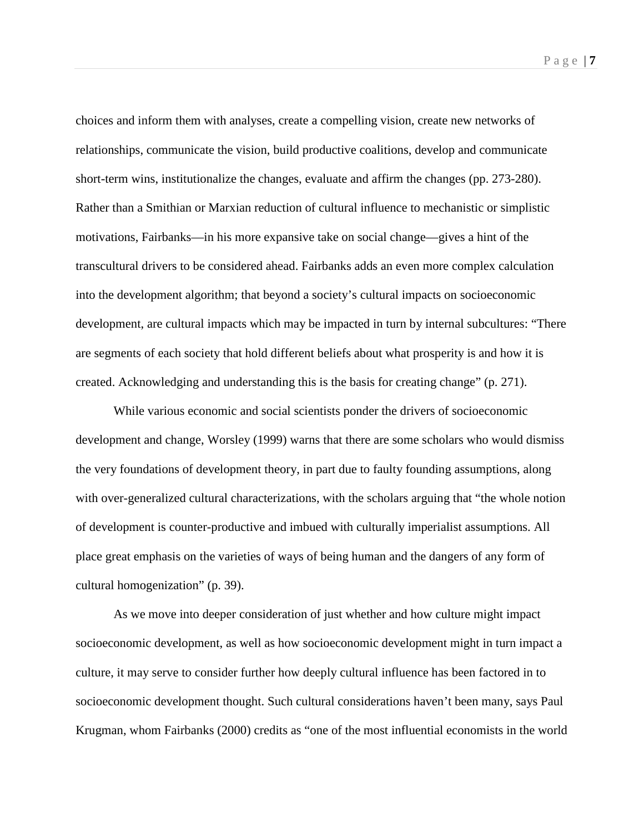choices and inform them with analyses, create a compelling vision, create new networks of relationships, communicate the vision, build productive coalitions, develop and communicate short-term wins, institutionalize the changes, evaluate and affirm the changes (pp. 273-280). Rather than a Smithian or Marxian reduction of cultural influence to mechanistic or simplistic motivations, Fairbanks—in his more expansive take on social change—gives a hint of the transcultural drivers to be considered ahead. Fairbanks adds an even more complex calculation into the development algorithm; that beyond a society's cultural impacts on socioeconomic development, are cultural impacts which may be impacted in turn by internal subcultures: "There are segments of each society that hold different beliefs about what prosperity is and how it is created. Acknowledging and understanding this is the basis for creating change" (p. 271).

While various economic and social scientists ponder the drivers of socioeconomic development and change, Worsley (1999) warns that there are some scholars who would dismiss the very foundations of development theory, in part due to faulty founding assumptions, along with over-generalized cultural characterizations, with the scholars arguing that "the whole notion of development is counter-productive and imbued with culturally imperialist assumptions. All place great emphasis on the varieties of ways of being human and the dangers of any form of cultural homogenization" (p. 39).

As we move into deeper consideration of just whether and how culture might impact socioeconomic development, as well as how socioeconomic development might in turn impact a culture, it may serve to consider further how deeply cultural influence has been factored in to socioeconomic development thought. Such cultural considerations haven't been many, says Paul Krugman, whom Fairbanks (2000) credits as "one of the most influential economists in the world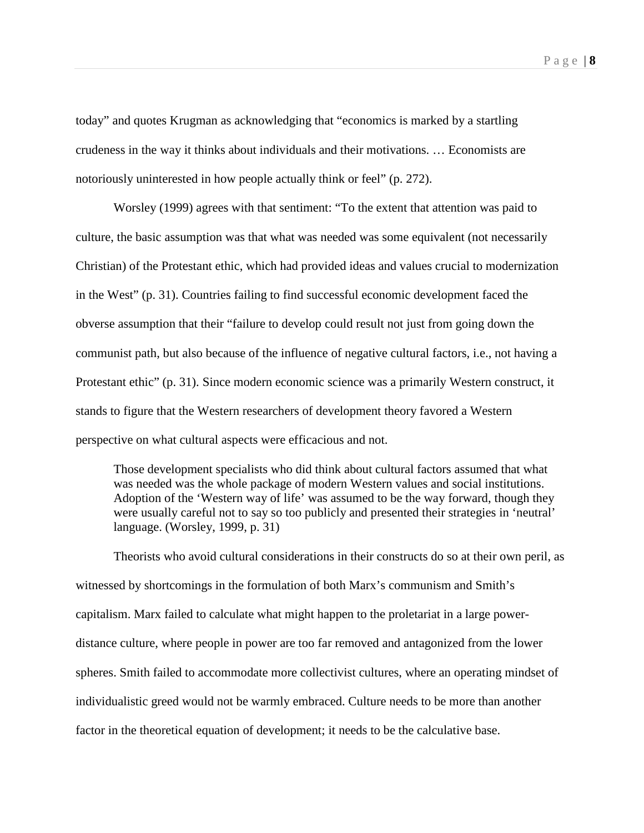today" and quotes Krugman as acknowledging that "economics is marked by a startling crudeness in the way it thinks about individuals and their motivations. … Economists are notoriously uninterested in how people actually think or feel" (p. 272).

Worsley (1999) agrees with that sentiment: "To the extent that attention was paid to culture, the basic assumption was that what was needed was some equivalent (not necessarily Christian) of the Protestant ethic, which had provided ideas and values crucial to modernization in the West" (p. 31). Countries failing to find successful economic development faced the obverse assumption that their "failure to develop could result not just from going down the communist path, but also because of the influence of negative cultural factors, i.e., not having a Protestant ethic" (p. 31). Since modern economic science was a primarily Western construct, it stands to figure that the Western researchers of development theory favored a Western perspective on what cultural aspects were efficacious and not.

Those development specialists who did think about cultural factors assumed that what was needed was the whole package of modern Western values and social institutions. Adoption of the 'Western way of life' was assumed to be the way forward, though they were usually careful not to say so too publicly and presented their strategies in 'neutral' language. (Worsley, 1999, p. 31)

Theorists who avoid cultural considerations in their constructs do so at their own peril, as witnessed by shortcomings in the formulation of both Marx's communism and Smith's capitalism. Marx failed to calculate what might happen to the proletariat in a large powerdistance culture, where people in power are too far removed and antagonized from the lower spheres. Smith failed to accommodate more collectivist cultures, where an operating mindset of individualistic greed would not be warmly embraced. Culture needs to be more than another factor in the theoretical equation of development; it needs to be the calculative base.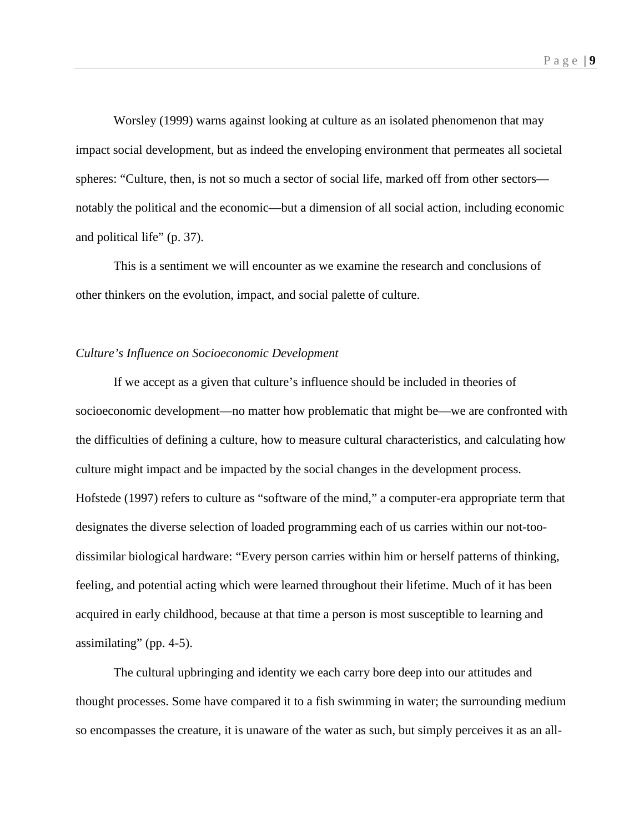Worsley (1999) warns against looking at culture as an isolated phenomenon that may impact social development, but as indeed the enveloping environment that permeates all societal spheres: "Culture, then, is not so much a sector of social life, marked off from other sectors notably the political and the economic—but a dimension of all social action, including economic and political life" (p. 37).

This is a sentiment we will encounter as we examine the research and conclusions of other thinkers on the evolution, impact, and social palette of culture.

### *Culture's Influence on Socioeconomic Development*

If we accept as a given that culture's influence should be included in theories of socioeconomic development—no matter how problematic that might be—we are confronted with the difficulties of defining a culture, how to measure cultural characteristics, and calculating how culture might impact and be impacted by the social changes in the development process. Hofstede (1997) refers to culture as "software of the mind," a computer-era appropriate term that designates the diverse selection of loaded programming each of us carries within our not-toodissimilar biological hardware: "Every person carries within him or herself patterns of thinking, feeling, and potential acting which were learned throughout their lifetime. Much of it has been acquired in early childhood, because at that time a person is most susceptible to learning and assimilating" (pp. 4-5).

The cultural upbringing and identity we each carry bore deep into our attitudes and thought processes. Some have compared it to a fish swimming in water; the surrounding medium so encompasses the creature, it is unaware of the water as such, but simply perceives it as an all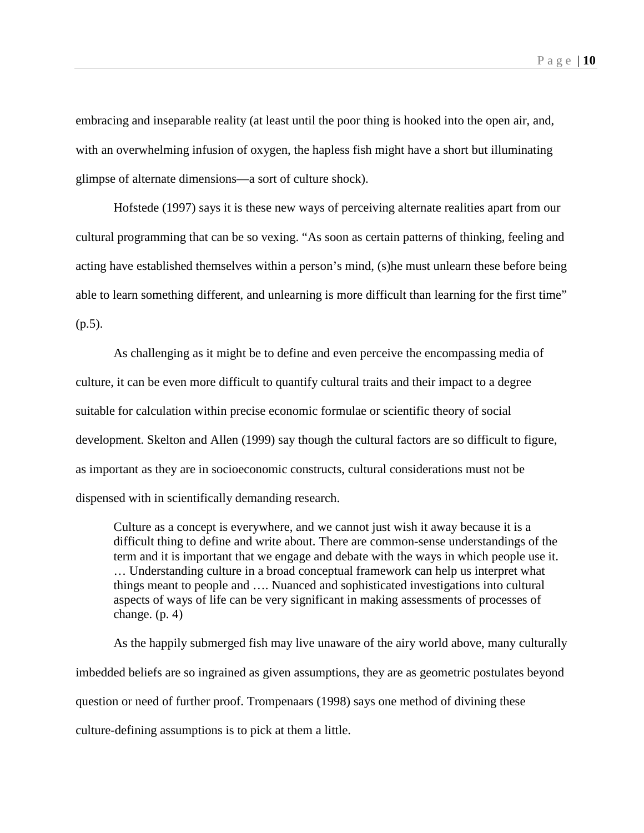embracing and inseparable reality (at least until the poor thing is hooked into the open air, and, with an overwhelming infusion of oxygen, the hapless fish might have a short but illuminating glimpse of alternate dimensions—a sort of culture shock).

Hofstede (1997) says it is these new ways of perceiving alternate realities apart from our cultural programming that can be so vexing. "As soon as certain patterns of thinking, feeling and acting have established themselves within a person's mind, (s)he must unlearn these before being able to learn something different, and unlearning is more difficult than learning for the first time" (p.5).

As challenging as it might be to define and even perceive the encompassing media of culture, it can be even more difficult to quantify cultural traits and their impact to a degree suitable for calculation within precise economic formulae or scientific theory of social development. Skelton and Allen (1999) say though the cultural factors are so difficult to figure, as important as they are in socioeconomic constructs, cultural considerations must not be dispensed with in scientifically demanding research.

Culture as a concept is everywhere, and we cannot just wish it away because it is a difficult thing to define and write about. There are common-sense understandings of the term and it is important that we engage and debate with the ways in which people use it. … Understanding culture in a broad conceptual framework can help us interpret what things meant to people and …. Nuanced and sophisticated investigations into cultural aspects of ways of life can be very significant in making assessments of processes of change.  $(p, 4)$ 

As the happily submerged fish may live unaware of the airy world above, many culturally imbedded beliefs are so ingrained as given assumptions, they are as geometric postulates beyond question or need of further proof. Trompenaars (1998) says one method of divining these culture-defining assumptions is to pick at them a little.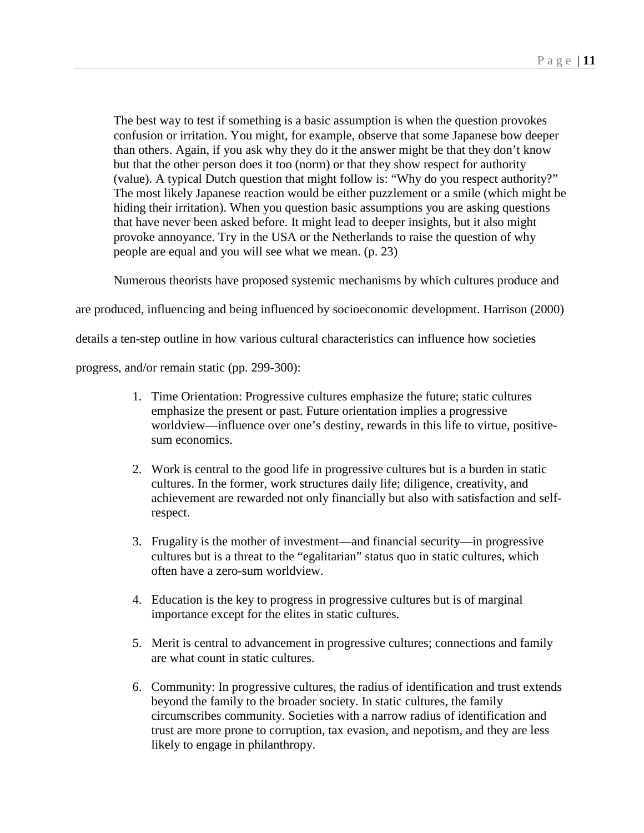The best way to test if something is a basic assumption is when the question provokes confusion or irritation. You might, for example, observe that some Japanese bow deeper than others. Again, if you ask why they do it the answer might be that they don't know but that the other person does it too (norm) or that they show respect for authority (value). A typical Dutch question that might follow is: "Why do you respect authority?" The most likely Japanese reaction would be either puzzlement or a smile (which might be hiding their irritation). When you question basic assumptions you are asking questions that have never been asked before. It might lead to deeper insights, but it also might provoke annoyance. Try in the USA or the Netherlands to raise the question of why people are equal and you will see what we mean. (p. 23)

Numerous theorists have proposed systemic mechanisms by which cultures produce and

are produced, influencing and being influenced by socioeconomic development. Harrison (2000)

details a ten-step outline in how various cultural characteristics can influence how societies

progress, and/or remain static (pp. 299-300):

- 1. Time Orientation: Progressive cultures emphasize the future; static cultures emphasize the present or past. Future orientation implies a progressive worldview—influence over one's destiny, rewards in this life to virtue, positivesum economics.
- 2. Work is central to the good life in progressive cultures but is a burden in static cultures. In the former, work structures daily life; diligence, creativity, and achievement are rewarded not only financially but also with satisfaction and selfrespect.
- 3. Frugality is the mother of investment—and financial security—in progressive cultures but is a threat to the "egalitarian" status quo in static cultures, which often have a zero-sum worldview.
- 4. Education is the key to progress in progressive cultures but is of marginal importance except for the elites in static cultures.
- 5. Merit is central to advancement in progressive cultures; connections and family are what count in static cultures.
- 6. Community: In progressive cultures, the radius of identification and trust extends beyond the family to the broader society. In static cultures, the family circumscribes community. Societies with a narrow radius of identification and trust are more prone to corruption, tax evasion, and nepotism, and they are less likely to engage in philanthropy.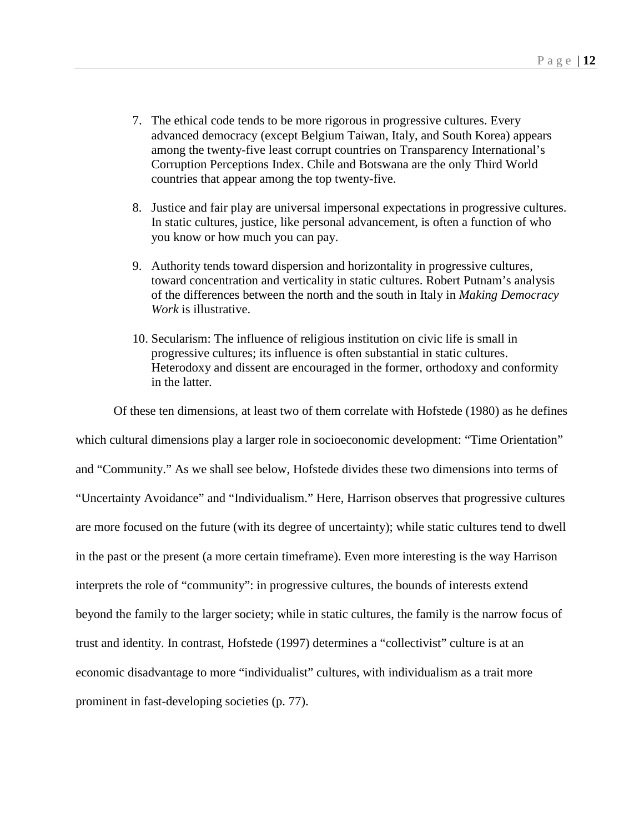- 7. The ethical code tends to be more rigorous in progressive cultures. Every advanced democracy (except Belgium Taiwan, Italy, and South Korea) appears among the twenty-five least corrupt countries on Transparency International's Corruption Perceptions Index. Chile and Botswana are the only Third World countries that appear among the top twenty-five.
- 8. Justice and fair play are universal impersonal expectations in progressive cultures. In static cultures, justice, like personal advancement, is often a function of who you know or how much you can pay.
- 9. Authority tends toward dispersion and horizontality in progressive cultures, toward concentration and verticality in static cultures. Robert Putnam's analysis of the differences between the north and the south in Italy in *Making Democracy Work* is illustrative.
- 10. Secularism: The influence of religious institution on civic life is small in progressive cultures; its influence is often substantial in static cultures. Heterodoxy and dissent are encouraged in the former, orthodoxy and conformity in the latter.

Of these ten dimensions, at least two of them correlate with Hofstede (1980) as he defines which cultural dimensions play a larger role in socioeconomic development: "Time Orientation" and "Community." As we shall see below, Hofstede divides these two dimensions into terms of "Uncertainty Avoidance" and "Individualism." Here, Harrison observes that progressive cultures are more focused on the future (with its degree of uncertainty); while static cultures tend to dwell in the past or the present (a more certain timeframe). Even more interesting is the way Harrison interprets the role of "community": in progressive cultures, the bounds of interests extend beyond the family to the larger society; while in static cultures, the family is the narrow focus of trust and identity. In contrast, Hofstede (1997) determines a "collectivist" culture is at an economic disadvantage to more "individualist" cultures, with individualism as a trait more prominent in fast-developing societies (p. 77).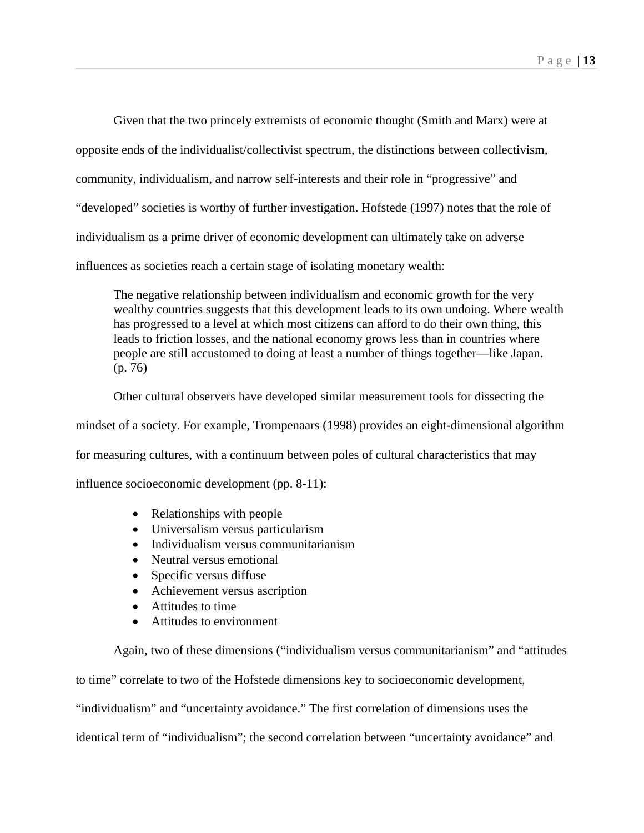Given that the two princely extremists of economic thought (Smith and Marx) were at opposite ends of the individualist/collectivist spectrum, the distinctions between collectivism, community, individualism, and narrow self-interests and their role in "progressive" and "developed" societies is worthy of further investigation. Hofstede (1997) notes that the role of individualism as a prime driver of economic development can ultimately take on adverse influences as societies reach a certain stage of isolating monetary wealth:

The negative relationship between individualism and economic growth for the very wealthy countries suggests that this development leads to its own undoing. Where wealth has progressed to a level at which most citizens can afford to do their own thing, this leads to friction losses, and the national economy grows less than in countries where people are still accustomed to doing at least a number of things together—like Japan. (p. 76)

Other cultural observers have developed similar measurement tools for dissecting the mindset of a society. For example, Trompenaars (1998) provides an eight-dimensional algorithm for measuring cultures, with a continuum between poles of cultural characteristics that may influence socioeconomic development (pp. 8-11):

- Relationships with people
- Universalism versus particularism
- Individualism versus communitarianism
- Neutral versus emotional
- Specific versus diffuse
- Achievement versus ascription
- Attitudes to time
- Attitudes to environment

Again, two of these dimensions ("individualism versus communitarianism" and "attitudes to time" correlate to two of the Hofstede dimensions key to socioeconomic development, "individualism" and "uncertainty avoidance." The first correlation of dimensions uses the identical term of "individualism"; the second correlation between "uncertainty avoidance" and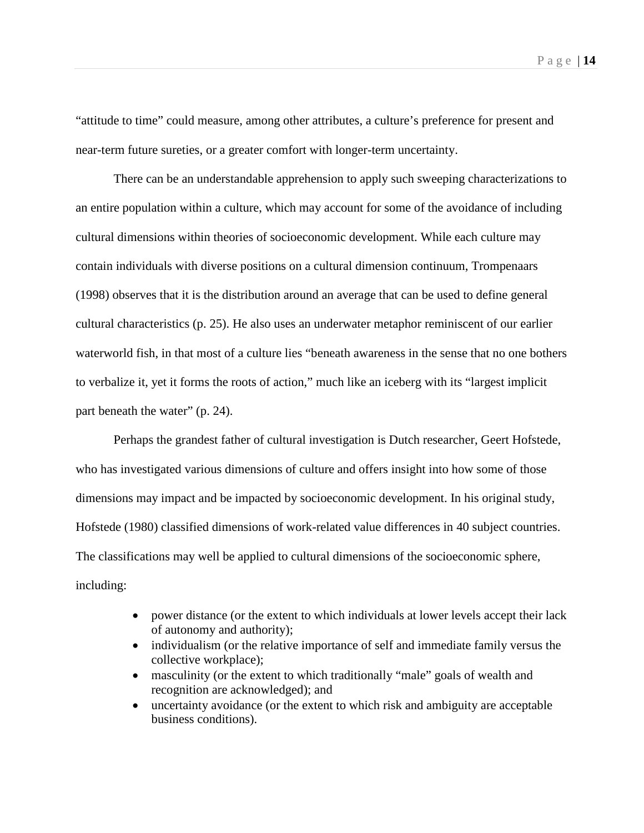"attitude to time" could measure, among other attributes, a culture's preference for present and near-term future sureties, or a greater comfort with longer-term uncertainty.

There can be an understandable apprehension to apply such sweeping characterizations to an entire population within a culture, which may account for some of the avoidance of including cultural dimensions within theories of socioeconomic development. While each culture may contain individuals with diverse positions on a cultural dimension continuum, Trompenaars (1998) observes that it is the distribution around an average that can be used to define general cultural characteristics (p. 25). He also uses an underwater metaphor reminiscent of our earlier waterworld fish, in that most of a culture lies "beneath awareness in the sense that no one bothers to verbalize it, yet it forms the roots of action," much like an iceberg with its "largest implicit part beneath the water" (p. 24).

Perhaps the grandest father of cultural investigation is Dutch researcher, Geert Hofstede, who has investigated various dimensions of culture and offers insight into how some of those dimensions may impact and be impacted by socioeconomic development. In his original study, Hofstede (1980) classified dimensions of work-related value differences in 40 subject countries. The classifications may well be applied to cultural dimensions of the socioeconomic sphere, including:

- power distance (or the extent to which individuals at lower levels accept their lack of autonomy and authority);
- individualism (or the relative importance of self and immediate family versus the collective workplace);
- masculinity (or the extent to which traditionally "male" goals of wealth and recognition are acknowledged); and
- uncertainty avoidance (or the extent to which risk and ambiguity are acceptable business conditions).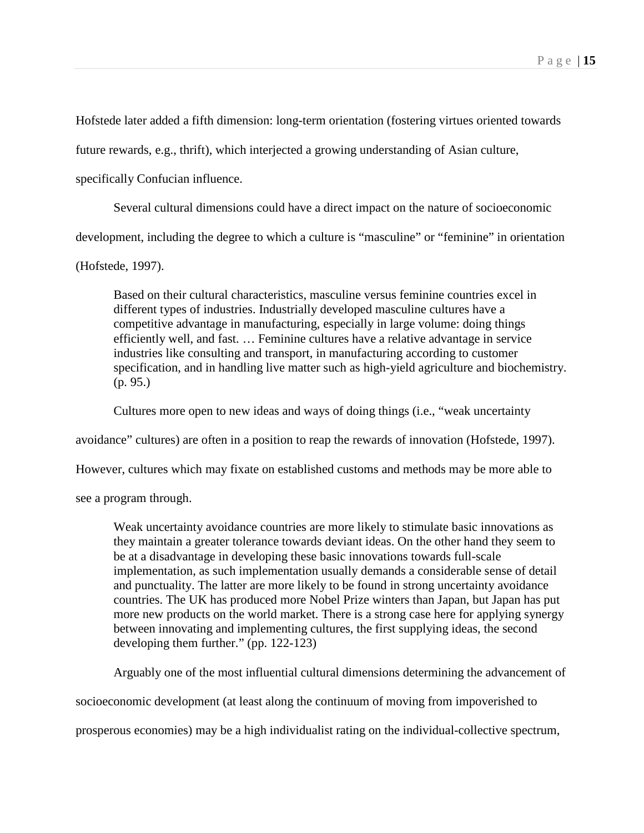Hofstede later added a fifth dimension: long-term orientation (fostering virtues oriented towards

future rewards, e.g., thrift), which interjected a growing understanding of Asian culture,

specifically Confucian influence.

Several cultural dimensions could have a direct impact on the nature of socioeconomic

development, including the degree to which a culture is "masculine" or "feminine" in orientation

(Hofstede, 1997).

Based on their cultural characteristics, masculine versus feminine countries excel in different types of industries. Industrially developed masculine cultures have a competitive advantage in manufacturing, especially in large volume: doing things efficiently well, and fast. … Feminine cultures have a relative advantage in service industries like consulting and transport, in manufacturing according to customer specification, and in handling live matter such as high-yield agriculture and biochemistry. (p. 95.)

Cultures more open to new ideas and ways of doing things (i.e., "weak uncertainty

avoidance" cultures) are often in a position to reap the rewards of innovation (Hofstede, 1997).

However, cultures which may fixate on established customs and methods may be more able to

see a program through.

Weak uncertainty avoidance countries are more likely to stimulate basic innovations as they maintain a greater tolerance towards deviant ideas. On the other hand they seem to be at a disadvantage in developing these basic innovations towards full-scale implementation, as such implementation usually demands a considerable sense of detail and punctuality. The latter are more likely to be found in strong uncertainty avoidance countries. The UK has produced more Nobel Prize winters than Japan, but Japan has put more new products on the world market. There is a strong case here for applying synergy between innovating and implementing cultures, the first supplying ideas, the second developing them further." (pp. 122-123)

Arguably one of the most influential cultural dimensions determining the advancement of

socioeconomic development (at least along the continuum of moving from impoverished to

prosperous economies) may be a high individualist rating on the individual-collective spectrum,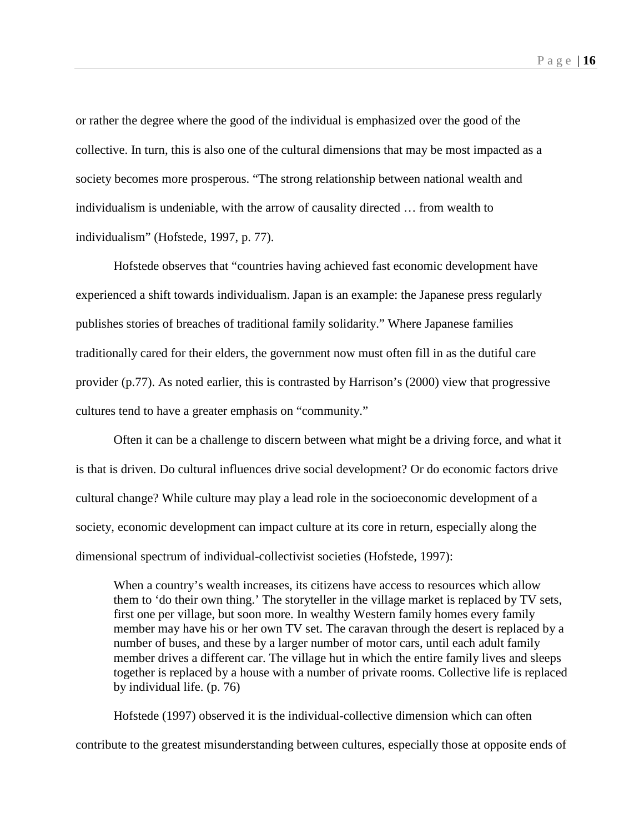or rather the degree where the good of the individual is emphasized over the good of the collective. In turn, this is also one of the cultural dimensions that may be most impacted as a society becomes more prosperous. "The strong relationship between national wealth and individualism is undeniable, with the arrow of causality directed … from wealth to individualism" (Hofstede, 1997, p. 77).

Hofstede observes that "countries having achieved fast economic development have experienced a shift towards individualism. Japan is an example: the Japanese press regularly publishes stories of breaches of traditional family solidarity." Where Japanese families traditionally cared for their elders, the government now must often fill in as the dutiful care provider (p.77). As noted earlier, this is contrasted by Harrison's (2000) view that progressive cultures tend to have a greater emphasis on "community."

Often it can be a challenge to discern between what might be a driving force, and what it is that is driven. Do cultural influences drive social development? Or do economic factors drive cultural change? While culture may play a lead role in the socioeconomic development of a society, economic development can impact culture at its core in return, especially along the dimensional spectrum of individual-collectivist societies (Hofstede, 1997):

When a country's wealth increases, its citizens have access to resources which allow them to 'do their own thing.' The storyteller in the village market is replaced by TV sets, first one per village, but soon more. In wealthy Western family homes every family member may have his or her own TV set. The caravan through the desert is replaced by a number of buses, and these by a larger number of motor cars, until each adult family member drives a different car. The village hut in which the entire family lives and sleeps together is replaced by a house with a number of private rooms. Collective life is replaced by individual life. (p. 76)

Hofstede (1997) observed it is the individual-collective dimension which can often contribute to the greatest misunderstanding between cultures, especially those at opposite ends of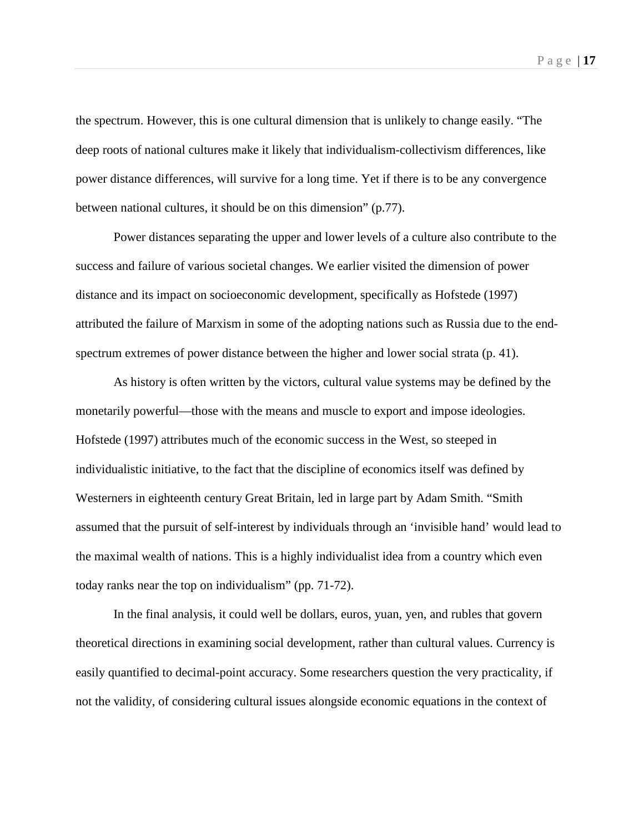the spectrum. However, this is one cultural dimension that is unlikely to change easily. "The deep roots of national cultures make it likely that individualism-collectivism differences, like power distance differences, will survive for a long time. Yet if there is to be any convergence between national cultures, it should be on this dimension" (p.77).

Power distances separating the upper and lower levels of a culture also contribute to the success and failure of various societal changes. We earlier visited the dimension of power distance and its impact on socioeconomic development, specifically as Hofstede (1997) attributed the failure of Marxism in some of the adopting nations such as Russia due to the endspectrum extremes of power distance between the higher and lower social strata (p. 41).

As history is often written by the victors, cultural value systems may be defined by the monetarily powerful—those with the means and muscle to export and impose ideologies. Hofstede (1997) attributes much of the economic success in the West, so steeped in individualistic initiative, to the fact that the discipline of economics itself was defined by Westerners in eighteenth century Great Britain, led in large part by Adam Smith. "Smith assumed that the pursuit of self-interest by individuals through an 'invisible hand' would lead to the maximal wealth of nations. This is a highly individualist idea from a country which even today ranks near the top on individualism" (pp. 71-72).

In the final analysis, it could well be dollars, euros, yuan, yen, and rubles that govern theoretical directions in examining social development, rather than cultural values. Currency is easily quantified to decimal-point accuracy. Some researchers question the very practicality, if not the validity, of considering cultural issues alongside economic equations in the context of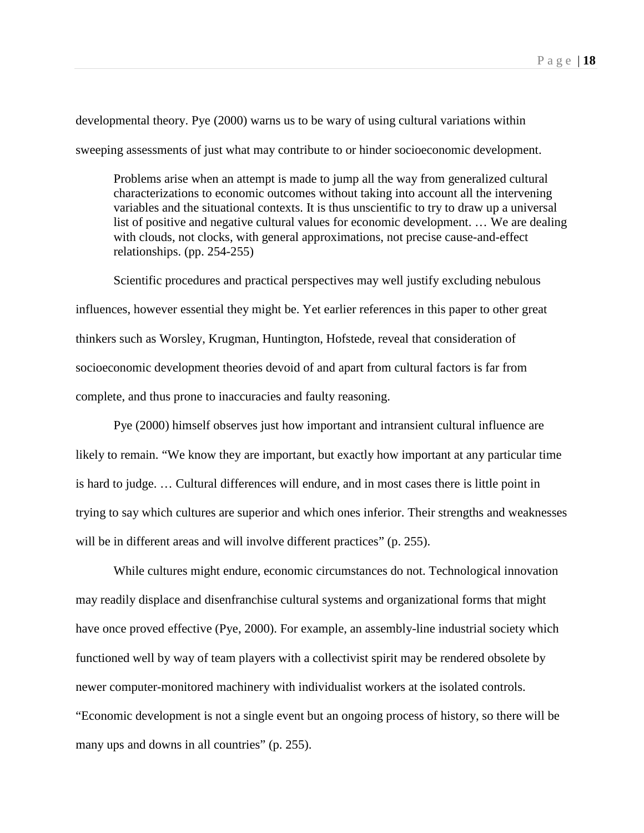developmental theory. Pye (2000) warns us to be wary of using cultural variations within sweeping assessments of just what may contribute to or hinder socioeconomic development.

Problems arise when an attempt is made to jump all the way from generalized cultural characterizations to economic outcomes without taking into account all the intervening variables and the situational contexts. It is thus unscientific to try to draw up a universal list of positive and negative cultural values for economic development. … We are dealing with clouds, not clocks, with general approximations, not precise cause-and-effect relationships. (pp. 254-255)

Scientific procedures and practical perspectives may well justify excluding nebulous influences, however essential they might be. Yet earlier references in this paper to other great thinkers such as Worsley, Krugman, Huntington, Hofstede, reveal that consideration of socioeconomic development theories devoid of and apart from cultural factors is far from complete, and thus prone to inaccuracies and faulty reasoning.

Pye (2000) himself observes just how important and intransient cultural influence are likely to remain. "We know they are important, but exactly how important at any particular time is hard to judge. … Cultural differences will endure, and in most cases there is little point in trying to say which cultures are superior and which ones inferior. Their strengths and weaknesses will be in different areas and will involve different practices" (p. 255).

While cultures might endure, economic circumstances do not. Technological innovation may readily displace and disenfranchise cultural systems and organizational forms that might have once proved effective (Pye, 2000). For example, an assembly-line industrial society which functioned well by way of team players with a collectivist spirit may be rendered obsolete by newer computer-monitored machinery with individualist workers at the isolated controls. "Economic development is not a single event but an ongoing process of history, so there will be many ups and downs in all countries" (p. 255).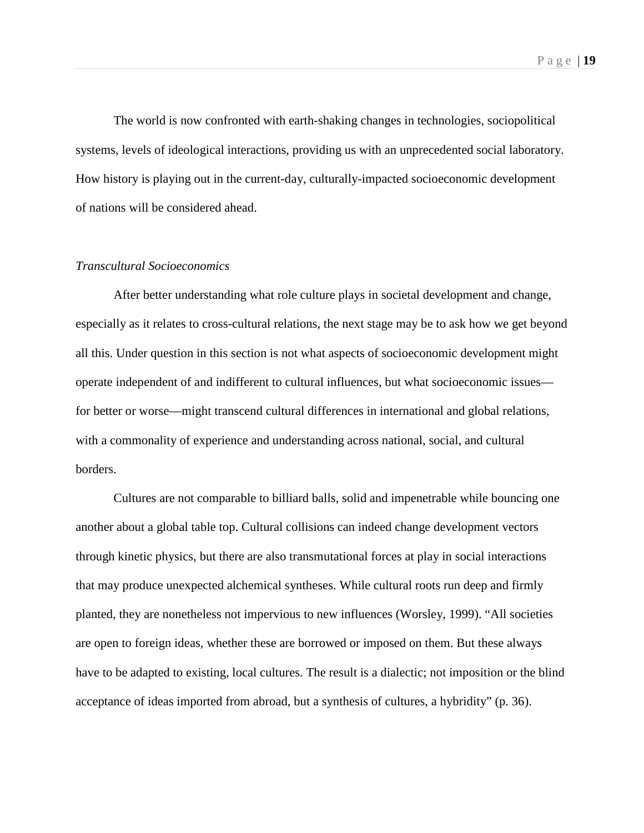The world is now confronted with earth-shaking changes in technologies, sociopolitical systems, levels of ideological interactions, providing us with an unprecedented social laboratory. How history is playing out in the current-day, culturally-impacted socioeconomic development of nations will be considered ahead.

### *Transcultural Socioeconomics*

After better understanding what role culture plays in societal development and change, especially as it relates to cross-cultural relations, the next stage may be to ask how we get beyond all this. Under question in this section is not what aspects of socioeconomic development might operate independent of and indifferent to cultural influences, but what socioeconomic issues for better or worse—might transcend cultural differences in international and global relations, with a commonality of experience and understanding across national, social, and cultural borders.

Cultures are not comparable to billiard balls, solid and impenetrable while bouncing one another about a global table top. Cultural collisions can indeed change development vectors through kinetic physics, but there are also transmutational forces at play in social interactions that may produce unexpected alchemical syntheses. While cultural roots run deep and firmly planted, they are nonetheless not impervious to new influences (Worsley, 1999). "All societies are open to foreign ideas, whether these are borrowed or imposed on them. But these always have to be adapted to existing, local cultures. The result is a dialectic; not imposition or the blind acceptance of ideas imported from abroad, but a synthesis of cultures, a hybridity" (p. 36).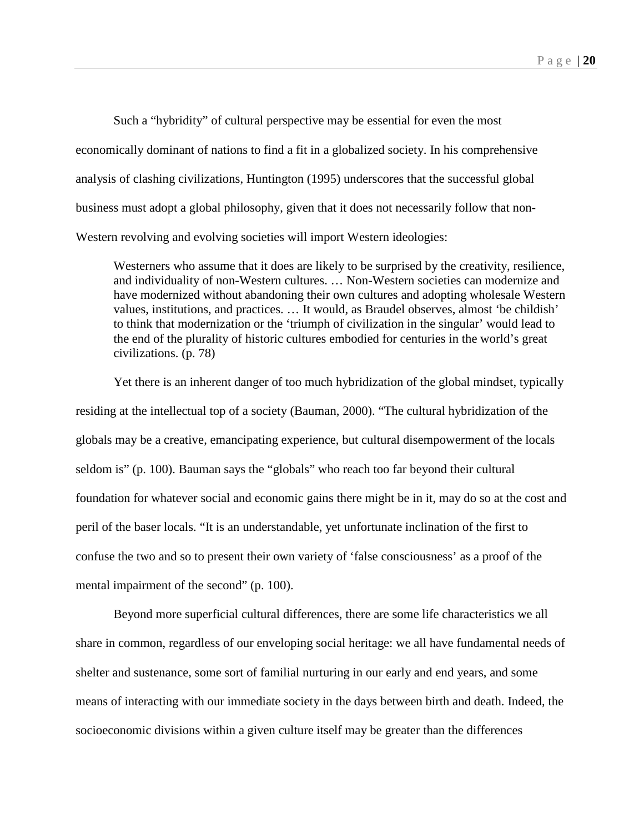Such a "hybridity" of cultural perspective may be essential for even the most economically dominant of nations to find a fit in a globalized society. In his comprehensive analysis of clashing civilizations, Huntington (1995) underscores that the successful global business must adopt a global philosophy, given that it does not necessarily follow that non-Western revolving and evolving societies will import Western ideologies:

Westerners who assume that it does are likely to be surprised by the creativity, resilience, and individuality of non-Western cultures. … Non-Western societies can modernize and have modernized without abandoning their own cultures and adopting wholesale Western values, institutions, and practices. … It would, as Braudel observes, almost 'be childish' to think that modernization or the 'triumph of civilization in the singular' would lead to the end of the plurality of historic cultures embodied for centuries in the world's great civilizations. (p. 78)

Yet there is an inherent danger of too much hybridization of the global mindset, typically residing at the intellectual top of a society (Bauman, 2000). "The cultural hybridization of the globals may be a creative, emancipating experience, but cultural disempowerment of the locals seldom is" (p. 100). Bauman says the "globals" who reach too far beyond their cultural foundation for whatever social and economic gains there might be in it, may do so at the cost and peril of the baser locals. "It is an understandable, yet unfortunate inclination of the first to confuse the two and so to present their own variety of 'false consciousness' as a proof of the mental impairment of the second" (p. 100).

Beyond more superficial cultural differences, there are some life characteristics we all share in common, regardless of our enveloping social heritage: we all have fundamental needs of shelter and sustenance, some sort of familial nurturing in our early and end years, and some means of interacting with our immediate society in the days between birth and death. Indeed, the socioeconomic divisions within a given culture itself may be greater than the differences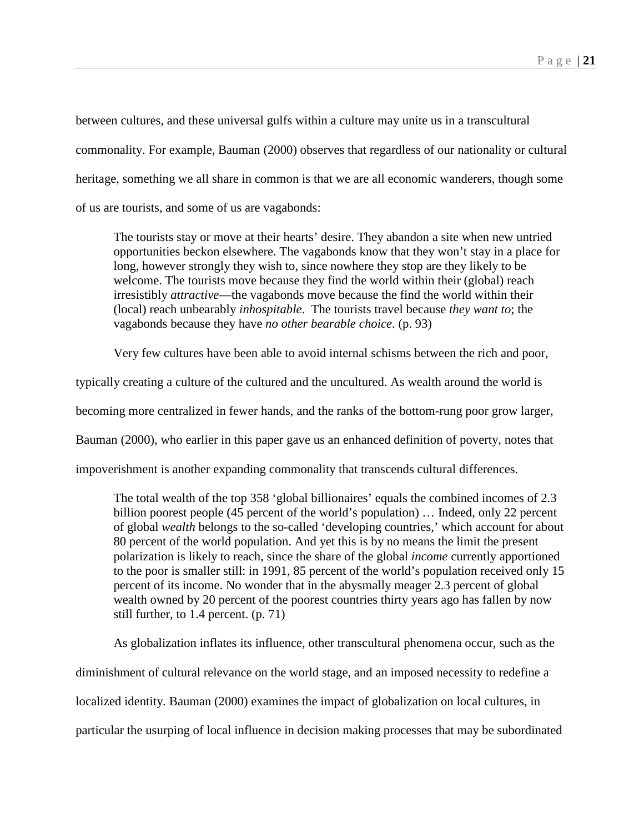between cultures, and these universal gulfs within a culture may unite us in a transcultural commonality. For example, Bauman (2000) observes that regardless of our nationality or cultural heritage, something we all share in common is that we are all economic wanderers, though some of us are tourists, and some of us are vagabonds:

The tourists stay or move at their hearts' desire. They abandon a site when new untried opportunities beckon elsewhere. The vagabonds know that they won't stay in a place for long, however strongly they wish to, since nowhere they stop are they likely to be welcome. The tourists move because they find the world within their (global) reach irresistibly *attractive*—the vagabonds move because the find the world within their (local) reach unbearably *inhospitable*. The tourists travel because *they want to*; the vagabonds because they have *no other bearable choice*. (p. 93)

Very few cultures have been able to avoid internal schisms between the rich and poor,

typically creating a culture of the cultured and the uncultured. As wealth around the world is

becoming more centralized in fewer hands, and the ranks of the bottom-rung poor grow larger,

Bauman (2000), who earlier in this paper gave us an enhanced definition of poverty, notes that

impoverishment is another expanding commonality that transcends cultural differences.

The total wealth of the top 358 'global billionaires' equals the combined incomes of 2.3 billion poorest people (45 percent of the world's population) ... Indeed, only 22 percent of global *wealth* belongs to the so-called 'developing countries,' which account for about 80 percent of the world population. And yet this is by no means the limit the present polarization is likely to reach, since the share of the global *income* currently apportioned to the poor is smaller still: in 1991, 85 percent of the world's population received only 15 percent of its income. No wonder that in the abysmally meager 2.3 percent of global wealth owned by 20 percent of the poorest countries thirty years ago has fallen by now still further, to 1.4 percent. (p. 71)

As globalization inflates its influence, other transcultural phenomena occur, such as the diminishment of cultural relevance on the world stage, and an imposed necessity to redefine a localized identity. Bauman (2000) examines the impact of globalization on local cultures, in particular the usurping of local influence in decision making processes that may be subordinated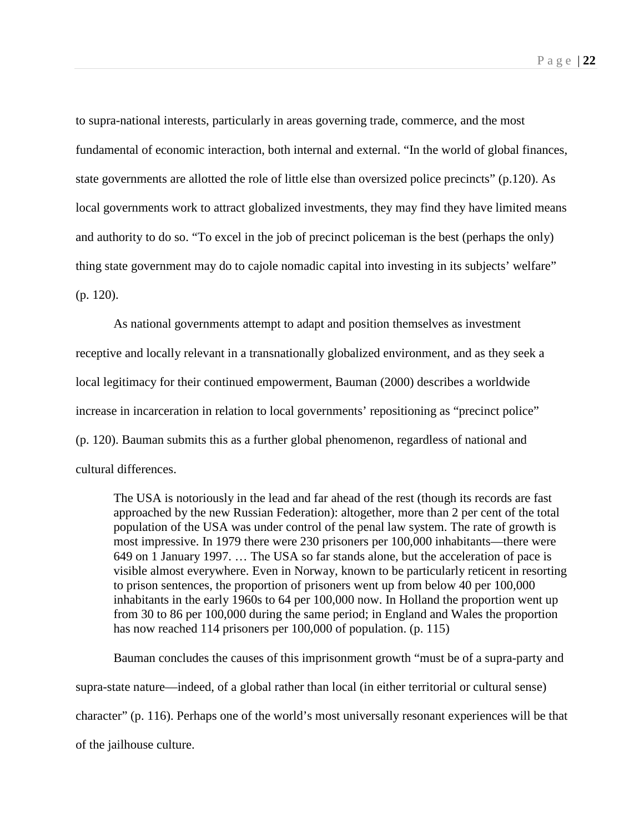to supra-national interests, particularly in areas governing trade, commerce, and the most fundamental of economic interaction, both internal and external. "In the world of global finances, state governments are allotted the role of little else than oversized police precincts" (p.120). As local governments work to attract globalized investments, they may find they have limited means and authority to do so. "To excel in the job of precinct policeman is the best (perhaps the only) thing state government may do to cajole nomadic capital into investing in its subjects' welfare" (p. 120).

As national governments attempt to adapt and position themselves as investment receptive and locally relevant in a transnationally globalized environment, and as they seek a local legitimacy for their continued empowerment, Bauman (2000) describes a worldwide increase in incarceration in relation to local governments' repositioning as "precinct police" (p. 120). Bauman submits this as a further global phenomenon, regardless of national and cultural differences.

The USA is notoriously in the lead and far ahead of the rest (though its records are fast approached by the new Russian Federation): altogether, more than 2 per cent of the total population of the USA was under control of the penal law system. The rate of growth is most impressive. In 1979 there were 230 prisoners per 100,000 inhabitants—there were 649 on 1 January 1997. … The USA so far stands alone, but the acceleration of pace is visible almost everywhere. Even in Norway, known to be particularly reticent in resorting to prison sentences, the proportion of prisoners went up from below 40 per 100,000 inhabitants in the early 1960s to 64 per 100,000 now. In Holland the proportion went up from 30 to 86 per 100,000 during the same period; in England and Wales the proportion has now reached 114 prisoners per 100,000 of population. (p. 115)

Bauman concludes the causes of this imprisonment growth "must be of a supra-party and supra-state nature—indeed, of a global rather than local (in either territorial or cultural sense) character" (p. 116). Perhaps one of the world's most universally resonant experiences will be that of the jailhouse culture.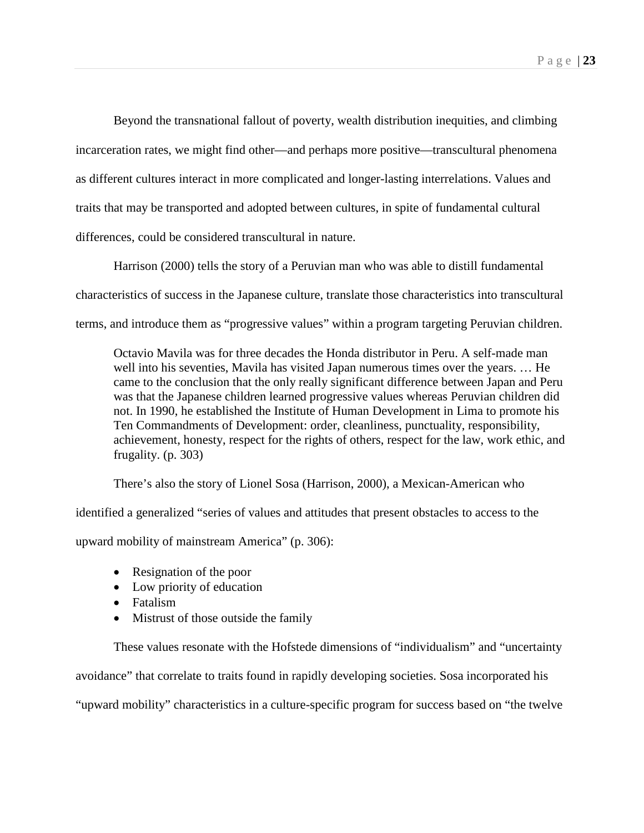Beyond the transnational fallout of poverty, wealth distribution inequities, and climbing incarceration rates, we might find other—and perhaps more positive—transcultural phenomena as different cultures interact in more complicated and longer-lasting interrelations. Values and traits that may be transported and adopted between cultures, in spite of fundamental cultural differences, could be considered transcultural in nature.

Harrison (2000) tells the story of a Peruvian man who was able to distill fundamental characteristics of success in the Japanese culture, translate those characteristics into transcultural terms, and introduce them as "progressive values" within a program targeting Peruvian children.

Octavio Mavila was for three decades the Honda distributor in Peru. A self-made man well into his seventies, Mavila has visited Japan numerous times over the years. … He came to the conclusion that the only really significant difference between Japan and Peru was that the Japanese children learned progressive values whereas Peruvian children did not. In 1990, he established the Institute of Human Development in Lima to promote his Ten Commandments of Development: order, cleanliness, punctuality, responsibility, achievement, honesty, respect for the rights of others, respect for the law, work ethic, and frugality. (p. 303)

There's also the story of Lionel Sosa (Harrison, 2000), a Mexican-American who

identified a generalized "series of values and attitudes that present obstacles to access to the

upward mobility of mainstream America" (p. 306):

- Resignation of the poor
- Low priority of education
- Fatalism
- Mistrust of those outside the family

These values resonate with the Hofstede dimensions of "individualism" and "uncertainty avoidance" that correlate to traits found in rapidly developing societies. Sosa incorporated his "upward mobility" characteristics in a culture-specific program for success based on "the twelve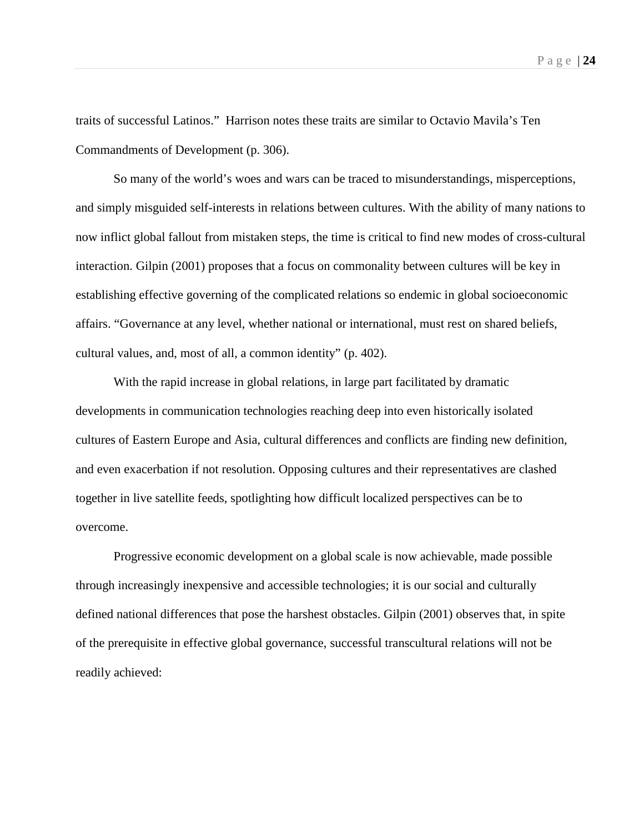Page | **24**

traits of successful Latinos." Harrison notes these traits are similar to Octavio Mavila's Ten Commandments of Development (p. 306).

So many of the world's woes and wars can be traced to misunderstandings, misperceptions, and simply misguided self-interests in relations between cultures. With the ability of many nations to now inflict global fallout from mistaken steps, the time is critical to find new modes of cross-cultural interaction. Gilpin (2001) proposes that a focus on commonality between cultures will be key in establishing effective governing of the complicated relations so endemic in global socioeconomic affairs. "Governance at any level, whether national or international, must rest on shared beliefs, cultural values, and, most of all, a common identity" (p. 402).

With the rapid increase in global relations, in large part facilitated by dramatic developments in communication technologies reaching deep into even historically isolated cultures of Eastern Europe and Asia, cultural differences and conflicts are finding new definition, and even exacerbation if not resolution. Opposing cultures and their representatives are clashed together in live satellite feeds, spotlighting how difficult localized perspectives can be to overcome.

Progressive economic development on a global scale is now achievable, made possible through increasingly inexpensive and accessible technologies; it is our social and culturally defined national differences that pose the harshest obstacles. Gilpin (2001) observes that, in spite of the prerequisite in effective global governance, successful transcultural relations will not be readily achieved: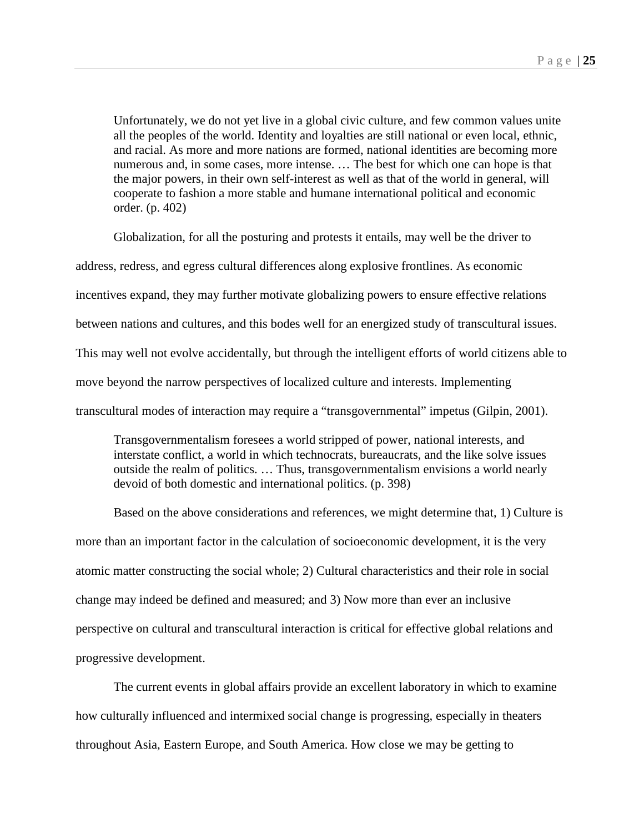Unfortunately, we do not yet live in a global civic culture, and few common values unite all the peoples of the world. Identity and loyalties are still national or even local, ethnic, and racial. As more and more nations are formed, national identities are becoming more numerous and, in some cases, more intense. … The best for which one can hope is that the major powers, in their own self-interest as well as that of the world in general, will cooperate to fashion a more stable and humane international political and economic order. (p. 402)

Globalization, for all the posturing and protests it entails, may well be the driver to address, redress, and egress cultural differences along explosive frontlines. As economic incentives expand, they may further motivate globalizing powers to ensure effective relations between nations and cultures, and this bodes well for an energized study of transcultural issues. This may well not evolve accidentally, but through the intelligent efforts of world citizens able to move beyond the narrow perspectives of localized culture and interests. Implementing transcultural modes of interaction may require a "transgovernmental" impetus (Gilpin, 2001).

Transgovernmentalism foresees a world stripped of power, national interests, and interstate conflict, a world in which technocrats, bureaucrats, and the like solve issues outside the realm of politics. … Thus, transgovernmentalism envisions a world nearly devoid of both domestic and international politics. (p. 398)

Based on the above considerations and references, we might determine that, 1) Culture is more than an important factor in the calculation of socioeconomic development, it is the very atomic matter constructing the social whole; 2) Cultural characteristics and their role in social change may indeed be defined and measured; and 3) Now more than ever an inclusive perspective on cultural and transcultural interaction is critical for effective global relations and progressive development.

The current events in global affairs provide an excellent laboratory in which to examine how culturally influenced and intermixed social change is progressing, especially in theaters throughout Asia, Eastern Europe, and South America. How close we may be getting to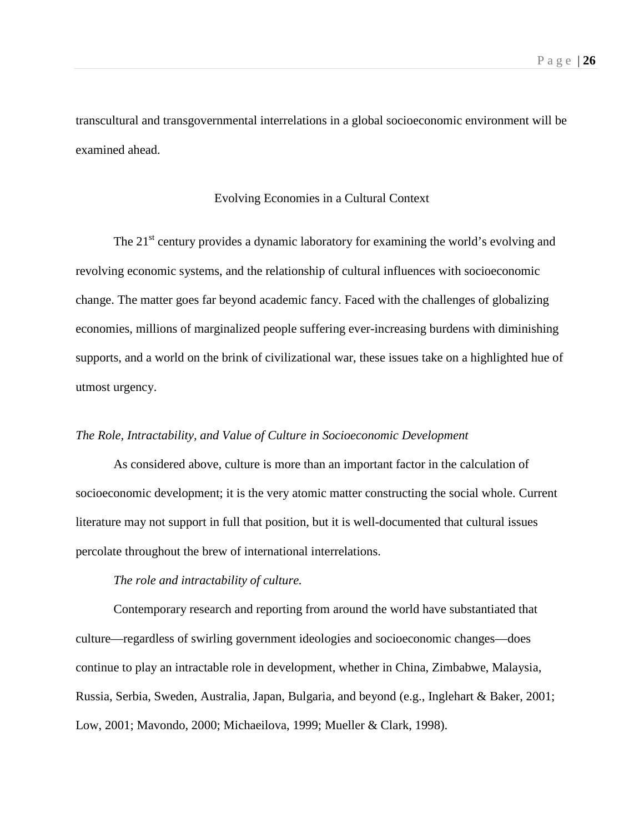transcultural and transgovernmental interrelations in a global socioeconomic environment will be examined ahead.

# Evolving Economies in a Cultural Context

The  $21<sup>st</sup>$  century provides a dynamic laboratory for examining the world's evolving and revolving economic systems, and the relationship of cultural influences with socioeconomic change. The matter goes far beyond academic fancy. Faced with the challenges of globalizing economies, millions of marginalized people suffering ever-increasing burdens with diminishing supports, and a world on the brink of civilizational war, these issues take on a highlighted hue of utmost urgency.

## *The Role, Intractability, and Value of Culture in Socioeconomic Development*

As considered above, culture is more than an important factor in the calculation of socioeconomic development; it is the very atomic matter constructing the social whole. Current literature may not support in full that position, but it is well-documented that cultural issues percolate throughout the brew of international interrelations.

## *The role and intractability of culture.*

Contemporary research and reporting from around the world have substantiated that culture—regardless of swirling government ideologies and socioeconomic changes—does continue to play an intractable role in development, whether in China, Zimbabwe, Malaysia, Russia, Serbia, Sweden, Australia, Japan, Bulgaria, and beyond (e.g., Inglehart & Baker, 2001; Low, 2001; Mavondo, 2000; Michaeilova, 1999; Mueller & Clark, 1998).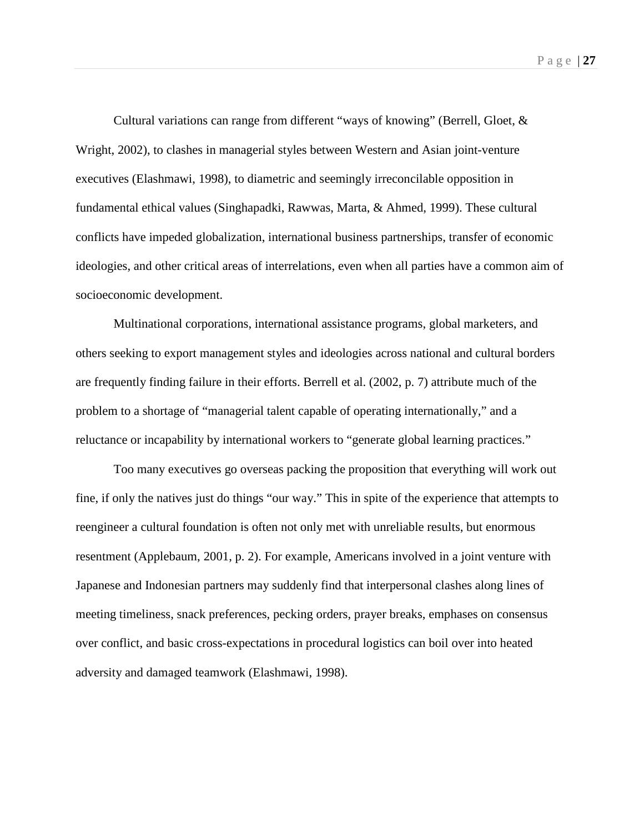Cultural variations can range from different "ways of knowing" (Berrell, Gloet, & Wright, 2002), to clashes in managerial styles between Western and Asian joint-venture executives (Elashmawi, 1998), to diametric and seemingly irreconcilable opposition in fundamental ethical values (Singhapadki, Rawwas, Marta, & Ahmed, 1999). These cultural conflicts have impeded globalization, international business partnerships, transfer of economic ideologies, and other critical areas of interrelations, even when all parties have a common aim of socioeconomic development.

Multinational corporations, international assistance programs, global marketers, and others seeking to export management styles and ideologies across national and cultural borders are frequently finding failure in their efforts. Berrell et al. (2002, p. 7) attribute much of the problem to a shortage of "managerial talent capable of operating internationally," and a reluctance or incapability by international workers to "generate global learning practices."

Too many executives go overseas packing the proposition that everything will work out fine, if only the natives just do things "our way." This in spite of the experience that attempts to reengineer a cultural foundation is often not only met with unreliable results, but enormous resentment (Applebaum, 2001, p. 2). For example, Americans involved in a joint venture with Japanese and Indonesian partners may suddenly find that interpersonal clashes along lines of meeting timeliness, snack preferences, pecking orders, prayer breaks, emphases on consensus over conflict, and basic cross-expectations in procedural logistics can boil over into heated adversity and damaged teamwork (Elashmawi, 1998).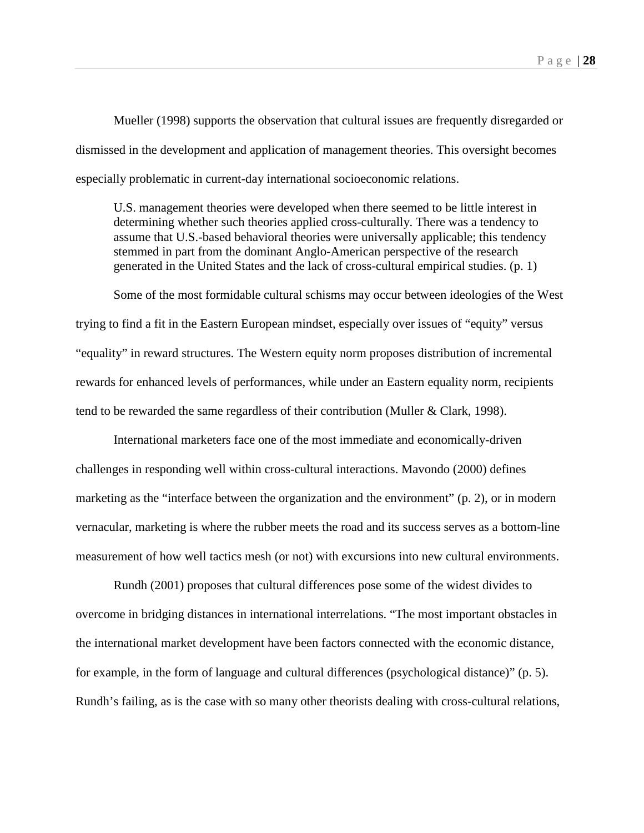Mueller (1998) supports the observation that cultural issues are frequently disregarded or dismissed in the development and application of management theories. This oversight becomes especially problematic in current-day international socioeconomic relations.

U.S. management theories were developed when there seemed to be little interest in determining whether such theories applied cross-culturally. There was a tendency to assume that U.S.-based behavioral theories were universally applicable; this tendency stemmed in part from the dominant Anglo-American perspective of the research generated in the United States and the lack of cross-cultural empirical studies. (p. 1)

Some of the most formidable cultural schisms may occur between ideologies of the West trying to find a fit in the Eastern European mindset, especially over issues of "equity" versus "equality" in reward structures. The Western equity norm proposes distribution of incremental rewards for enhanced levels of performances, while under an Eastern equality norm, recipients tend to be rewarded the same regardless of their contribution (Muller & Clark, 1998).

International marketers face one of the most immediate and economically-driven challenges in responding well within cross-cultural interactions. Mavondo (2000) defines marketing as the "interface between the organization and the environment" (p. 2), or in modern vernacular, marketing is where the rubber meets the road and its success serves as a bottom-line measurement of how well tactics mesh (or not) with excursions into new cultural environments.

Rundh (2001) proposes that cultural differences pose some of the widest divides to overcome in bridging distances in international interrelations. "The most important obstacles in the international market development have been factors connected with the economic distance, for example, in the form of language and cultural differences (psychological distance)" (p. 5). Rundh's failing, as is the case with so many other theorists dealing with cross-cultural relations,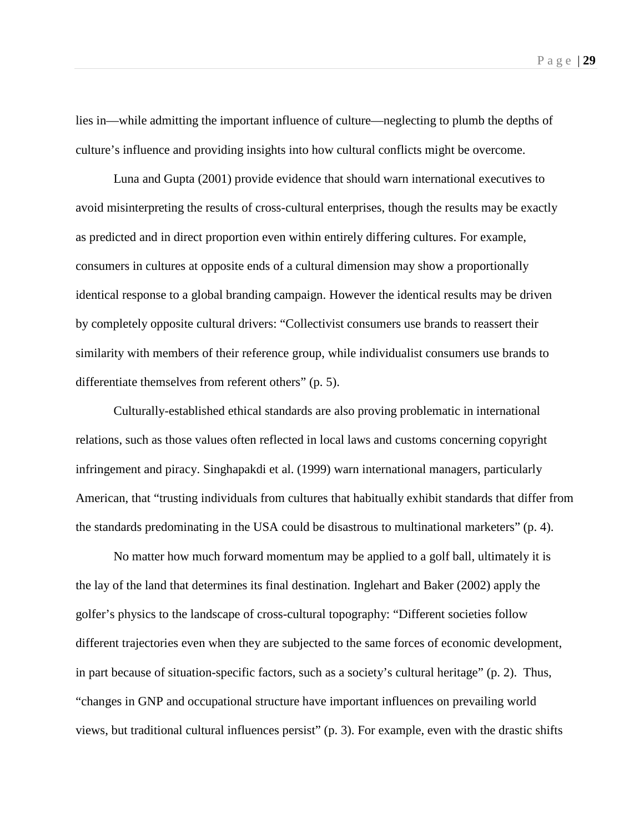lies in—while admitting the important influence of culture—neglecting to plumb the depths of culture's influence and providing insights into how cultural conflicts might be overcome.

Luna and Gupta (2001) provide evidence that should warn international executives to avoid misinterpreting the results of cross-cultural enterprises, though the results may be exactly as predicted and in direct proportion even within entirely differing cultures. For example, consumers in cultures at opposite ends of a cultural dimension may show a proportionally identical response to a global branding campaign. However the identical results may be driven by completely opposite cultural drivers: "Collectivist consumers use brands to reassert their similarity with members of their reference group, while individualist consumers use brands to differentiate themselves from referent others" (p. 5).

Culturally-established ethical standards are also proving problematic in international relations, such as those values often reflected in local laws and customs concerning copyright infringement and piracy. Singhapakdi et al. (1999) warn international managers, particularly American, that "trusting individuals from cultures that habitually exhibit standards that differ from the standards predominating in the USA could be disastrous to multinational marketers" (p. 4).

No matter how much forward momentum may be applied to a golf ball, ultimately it is the lay of the land that determines its final destination. Inglehart and Baker (2002) apply the golfer's physics to the landscape of cross-cultural topography: "Different societies follow different trajectories even when they are subjected to the same forces of economic development, in part because of situation-specific factors, such as a society's cultural heritage" (p. 2). Thus, "changes in GNP and occupational structure have important influences on prevailing world views, but traditional cultural influences persist" (p. 3). For example, even with the drastic shifts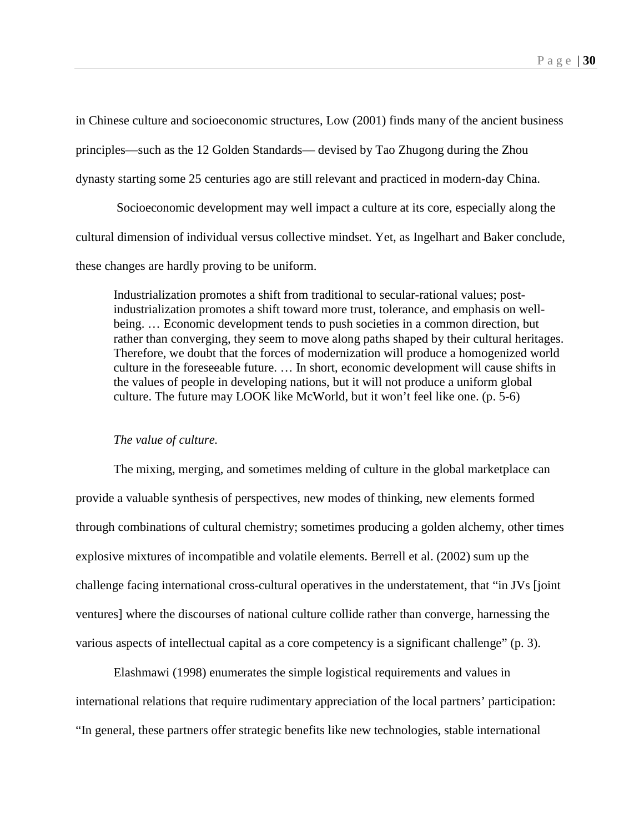in Chinese culture and socioeconomic structures, Low (2001) finds many of the ancient business principles—such as the 12 Golden Standards— devised by Tao Zhugong during the Zhou dynasty starting some 25 centuries ago are still relevant and practiced in modern-day China.

Socioeconomic development may well impact a culture at its core, especially along the cultural dimension of individual versus collective mindset. Yet, as Ingelhart and Baker conclude, these changes are hardly proving to be uniform.

Industrialization promotes a shift from traditional to secular-rational values; postindustrialization promotes a shift toward more trust, tolerance, and emphasis on wellbeing. … Economic development tends to push societies in a common direction, but rather than converging, they seem to move along paths shaped by their cultural heritages. Therefore, we doubt that the forces of modernization will produce a homogenized world culture in the foreseeable future. … In short, economic development will cause shifts in the values of people in developing nations, but it will not produce a uniform global culture. The future may LOOK like McWorld, but it won't feel like one. (p. 5-6)

#### *The value of culture.*

The mixing, merging, and sometimes melding of culture in the global marketplace can provide a valuable synthesis of perspectives, new modes of thinking, new elements formed through combinations of cultural chemistry; sometimes producing a golden alchemy, other times explosive mixtures of incompatible and volatile elements. Berrell et al. (2002) sum up the challenge facing international cross-cultural operatives in the understatement, that "in JVs [joint ventures] where the discourses of national culture collide rather than converge, harnessing the various aspects of intellectual capital as a core competency is a significant challenge" (p. 3).

Elashmawi (1998) enumerates the simple logistical requirements and values in international relations that require rudimentary appreciation of the local partners' participation: "In general, these partners offer strategic benefits like new technologies, stable international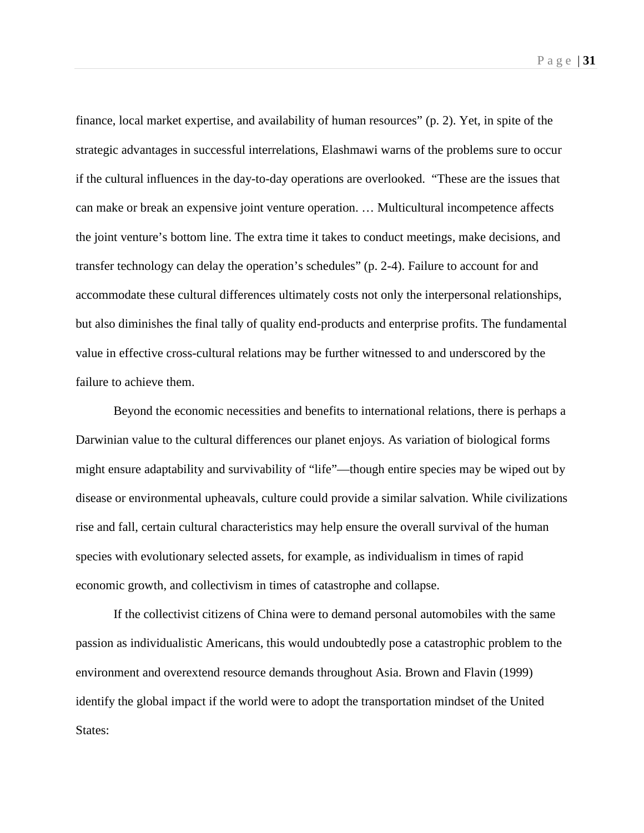finance, local market expertise, and availability of human resources" (p. 2). Yet, in spite of the strategic advantages in successful interrelations, Elashmawi warns of the problems sure to occur if the cultural influences in the day-to-day operations are overlooked. "These are the issues that can make or break an expensive joint venture operation. … Multicultural incompetence affects the joint venture's bottom line. The extra time it takes to conduct meetings, make decisions, and transfer technology can delay the operation's schedules" (p. 2-4). Failure to account for and accommodate these cultural differences ultimately costs not only the interpersonal relationships, but also diminishes the final tally of quality end-products and enterprise profits. The fundamental value in effective cross-cultural relations may be further witnessed to and underscored by the failure to achieve them.

Beyond the economic necessities and benefits to international relations, there is perhaps a Darwinian value to the cultural differences our planet enjoys. As variation of biological forms might ensure adaptability and survivability of "life"—though entire species may be wiped out by disease or environmental upheavals, culture could provide a similar salvation. While civilizations rise and fall, certain cultural characteristics may help ensure the overall survival of the human species with evolutionary selected assets, for example, as individualism in times of rapid economic growth, and collectivism in times of catastrophe and collapse.

If the collectivist citizens of China were to demand personal automobiles with the same passion as individualistic Americans, this would undoubtedly pose a catastrophic problem to the environment and overextend resource demands throughout Asia. Brown and Flavin (1999) identify the global impact if the world were to adopt the transportation mindset of the United States: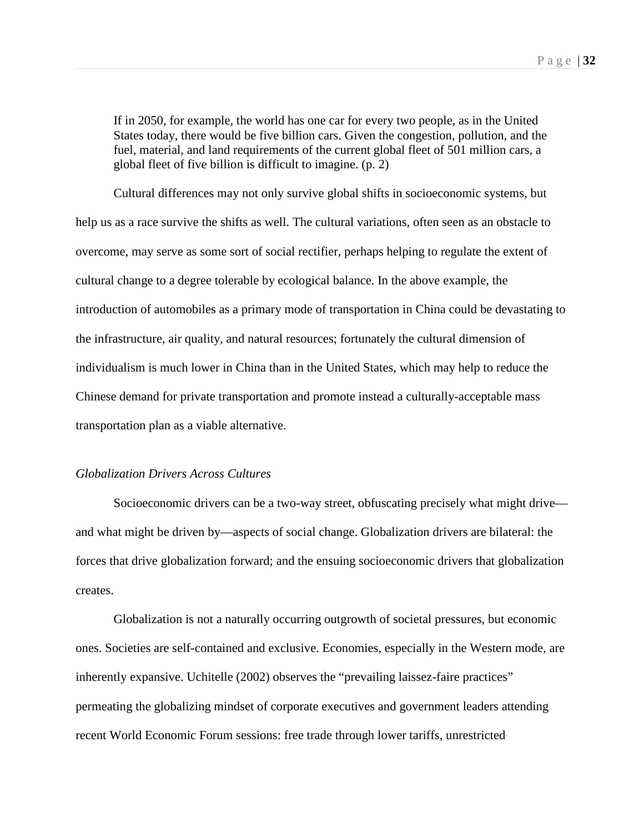If in 2050, for example, the world has one car for every two people, as in the United States today, there would be five billion cars. Given the congestion, pollution, and the fuel, material, and land requirements of the current global fleet of 501 million cars, a global fleet of five billion is difficult to imagine. (p. 2)

Cultural differences may not only survive global shifts in socioeconomic systems, but help us as a race survive the shifts as well. The cultural variations, often seen as an obstacle to overcome, may serve as some sort of social rectifier, perhaps helping to regulate the extent of cultural change to a degree tolerable by ecological balance. In the above example, the introduction of automobiles as a primary mode of transportation in China could be devastating to the infrastructure, air quality, and natural resources; fortunately the cultural dimension of individualism is much lower in China than in the United States, which may help to reduce the Chinese demand for private transportation and promote instead a culturally-acceptable mass transportation plan as a viable alternative.

# *Globalization Drivers Across Cultures*

Socioeconomic drivers can be a two-way street, obfuscating precisely what might drive and what might be driven by—aspects of social change. Globalization drivers are bilateral: the forces that drive globalization forward; and the ensuing socioeconomic drivers that globalization creates.

Globalization is not a naturally occurring outgrowth of societal pressures, but economic ones. Societies are self-contained and exclusive. Economies, especially in the Western mode, are inherently expansive. Uchitelle (2002) observes the "prevailing laissez-faire practices" permeating the globalizing mindset of corporate executives and government leaders attending recent World Economic Forum sessions: free trade through lower tariffs, unrestricted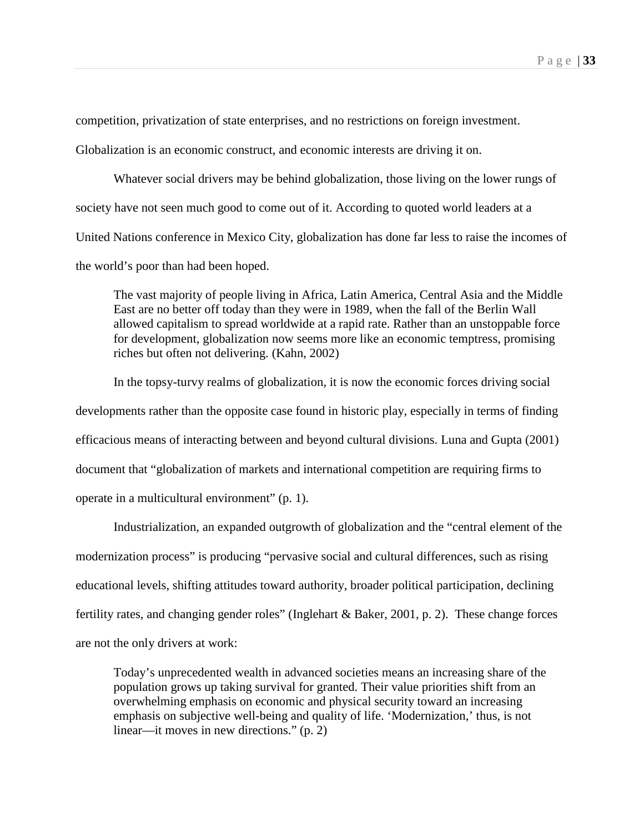competition, privatization of state enterprises, and no restrictions on foreign investment.

Globalization is an economic construct, and economic interests are driving it on.

Whatever social drivers may be behind globalization, those living on the lower rungs of society have not seen much good to come out of it. According to quoted world leaders at a United Nations conference in Mexico City, globalization has done far less to raise the incomes of the world's poor than had been hoped.

The vast majority of people living in Africa, Latin America, Central Asia and the Middle East are no better off today than they were in 1989, when the fall of the Berlin Wall allowed capitalism to spread worldwide at a rapid rate. Rather than an unstoppable force for development, globalization now seems more like an economic temptress, promising riches but often not delivering. (Kahn, 2002)

In the topsy-turvy realms of globalization, it is now the economic forces driving social developments rather than the opposite case found in historic play, especially in terms of finding efficacious means of interacting between and beyond cultural divisions. Luna and Gupta (2001) document that "globalization of markets and international competition are requiring firms to operate in a multicultural environment" (p. 1).

Industrialization, an expanded outgrowth of globalization and the "central element of the modernization process" is producing "pervasive social and cultural differences, such as rising educational levels, shifting attitudes toward authority, broader political participation, declining fertility rates, and changing gender roles" (Inglehart & Baker, 2001, p. 2). These change forces are not the only drivers at work:

Today's unprecedented wealth in advanced societies means an increasing share of the population grows up taking survival for granted. Their value priorities shift from an overwhelming emphasis on economic and physical security toward an increasing emphasis on subjective well-being and quality of life. 'Modernization,' thus, is not linear—it moves in new directions." (p. 2)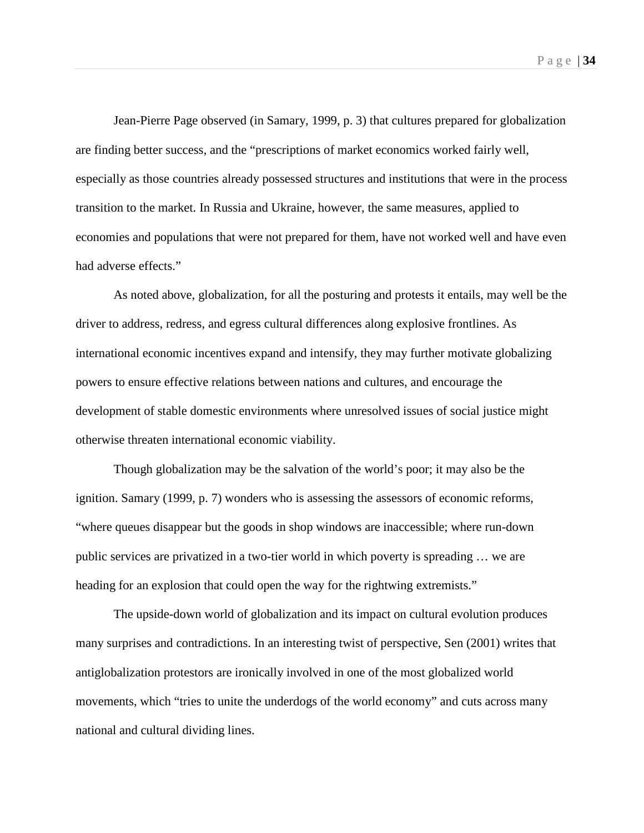Jean-Pierre Page observed (in Samary, 1999, p. 3) that cultures prepared for globalization are finding better success, and the "prescriptions of market economics worked fairly well, especially as those countries already possessed structures and institutions that were in the process transition to the market. In Russia and Ukraine, however, the same measures, applied to economies and populations that were not prepared for them, have not worked well and have even had adverse effects."

As noted above, globalization, for all the posturing and protests it entails, may well be the driver to address, redress, and egress cultural differences along explosive frontlines. As international economic incentives expand and intensify, they may further motivate globalizing powers to ensure effective relations between nations and cultures, and encourage the development of stable domestic environments where unresolved issues of social justice might otherwise threaten international economic viability.

Though globalization may be the salvation of the world's poor; it may also be the ignition. Samary (1999, p. 7) wonders who is assessing the assessors of economic reforms, "where queues disappear but the goods in shop windows are inaccessible; where run-down public services are privatized in a two-tier world in which poverty is spreading … we are heading for an explosion that could open the way for the rightwing extremists."

The upside-down world of globalization and its impact on cultural evolution produces many surprises and contradictions. In an interesting twist of perspective, Sen (2001) writes that antiglobalization protestors are ironically involved in one of the most globalized world movements, which "tries to unite the underdogs of the world economy" and cuts across many national and cultural dividing lines.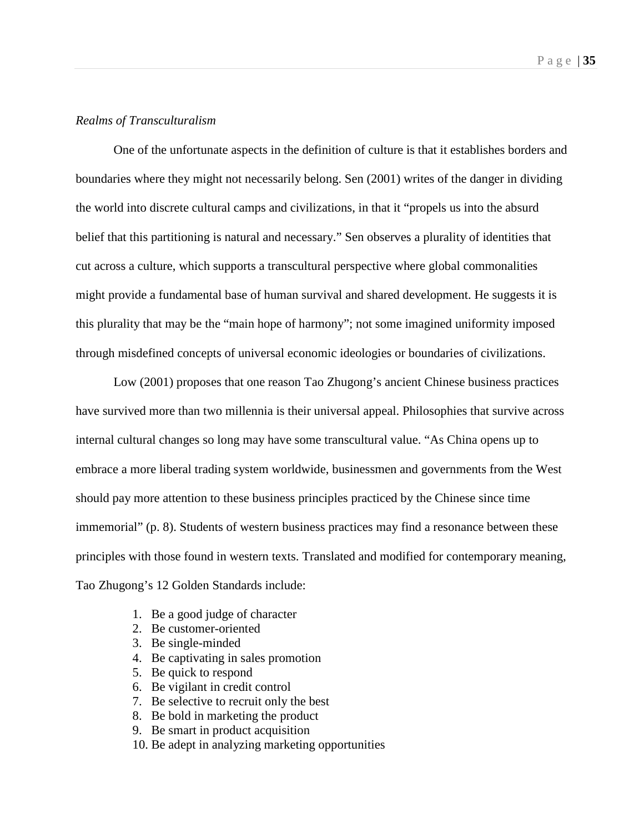# *Realms of Transculturalism*

One of the unfortunate aspects in the definition of culture is that it establishes borders and boundaries where they might not necessarily belong. Sen (2001) writes of the danger in dividing the world into discrete cultural camps and civilizations, in that it "propels us into the absurd belief that this partitioning is natural and necessary." Sen observes a plurality of identities that cut across a culture, which supports a transcultural perspective where global commonalities might provide a fundamental base of human survival and shared development. He suggests it is this plurality that may be the "main hope of harmony"; not some imagined uniformity imposed through misdefined concepts of universal economic ideologies or boundaries of civilizations.

Low (2001) proposes that one reason Tao Zhugong's ancient Chinese business practices have survived more than two millennia is their universal appeal. Philosophies that survive across internal cultural changes so long may have some transcultural value. "As China opens up to embrace a more liberal trading system worldwide, businessmen and governments from the West should pay more attention to these business principles practiced by the Chinese since time immemorial" (p. 8). Students of western business practices may find a resonance between these principles with those found in western texts. Translated and modified for contemporary meaning, Tao Zhugong's 12 Golden Standards include:

- 1. Be a good judge of character
- 2. Be customer-oriented
- 3. Be single-minded
- 4. Be captivating in sales promotion
- 5. Be quick to respond
- 6. Be vigilant in credit control
- 7. Be selective to recruit only the best
- 8. Be bold in marketing the product
- 9. Be smart in product acquisition
- 10. Be adept in analyzing marketing opportunities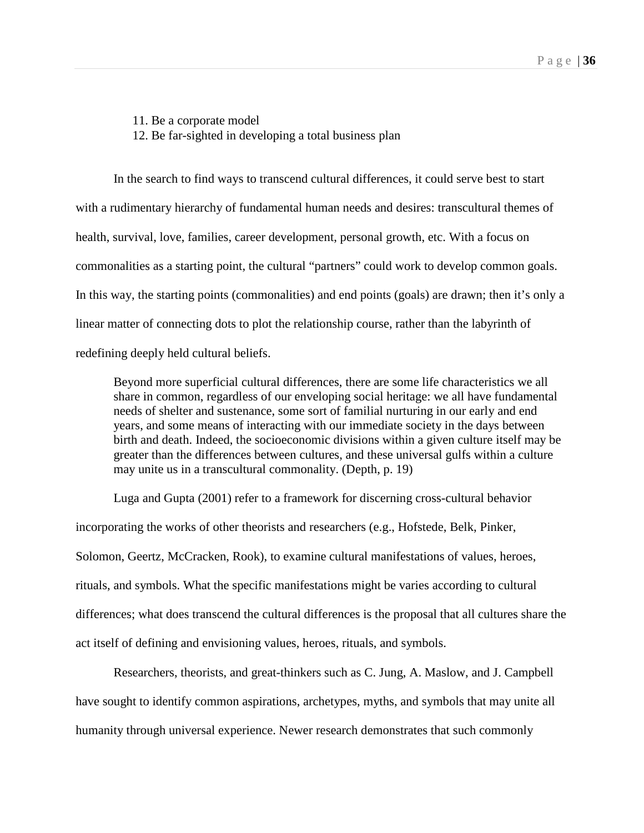11. Be a corporate model

12. Be far-sighted in developing a total business plan

In the search to find ways to transcend cultural differences, it could serve best to start with a rudimentary hierarchy of fundamental human needs and desires: transcultural themes of health, survival, love, families, career development, personal growth, etc. With a focus on commonalities as a starting point, the cultural "partners" could work to develop common goals. In this way, the starting points (commonalities) and end points (goals) are drawn; then it's only a linear matter of connecting dots to plot the relationship course, rather than the labyrinth of redefining deeply held cultural beliefs.

Beyond more superficial cultural differences, there are some life characteristics we all share in common, regardless of our enveloping social heritage: we all have fundamental needs of shelter and sustenance, some sort of familial nurturing in our early and end years, and some means of interacting with our immediate society in the days between birth and death. Indeed, the socioeconomic divisions within a given culture itself may be greater than the differences between cultures, and these universal gulfs within a culture may unite us in a transcultural commonality. (Depth, p. 19)

Luga and Gupta (2001) refer to a framework for discerning cross-cultural behavior incorporating the works of other theorists and researchers (e.g., Hofstede, Belk, Pinker, Solomon, Geertz, McCracken, Rook), to examine cultural manifestations of values, heroes, rituals, and symbols. What the specific manifestations might be varies according to cultural differences; what does transcend the cultural differences is the proposal that all cultures share the act itself of defining and envisioning values, heroes, rituals, and symbols.

Researchers, theorists, and great-thinkers such as C. Jung, A. Maslow, and J. Campbell have sought to identify common aspirations, archetypes, myths, and symbols that may unite all humanity through universal experience. Newer research demonstrates that such commonly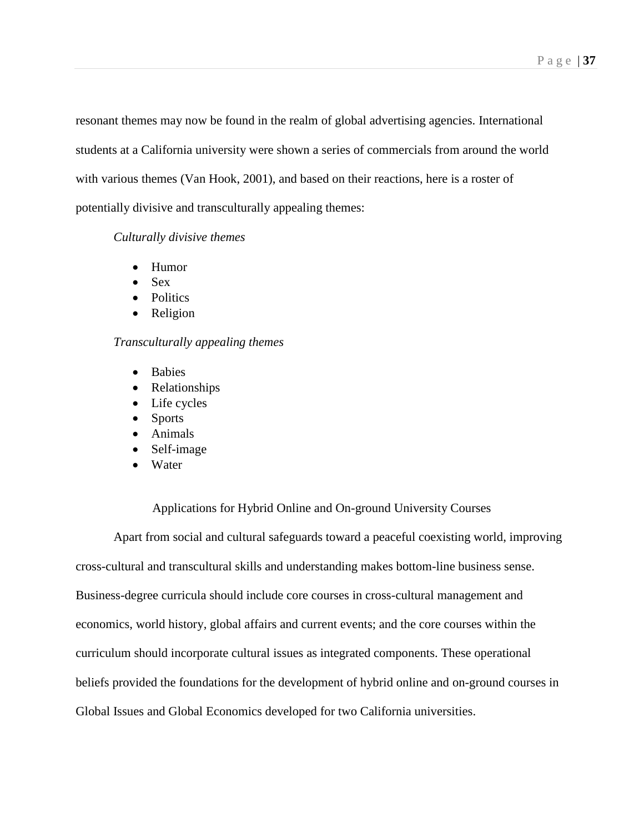resonant themes may now be found in the realm of global advertising agencies. International students at a California university were shown a series of commercials from around the world with various themes (Van Hook, 2001), and based on their reactions, here is a roster of potentially divisive and transculturally appealing themes:

# *Culturally divisive themes*

- Humor
- Sex
- Politics
- Religion

# *Transculturally appealing themes*

- Babies
- Relationships
- Life cycles
- Sports
- Animals
- Self-image
- Water

# Applications for Hybrid Online and On-ground University Courses

Apart from social and cultural safeguards toward a peaceful coexisting world, improving cross-cultural and transcultural skills and understanding makes bottom-line business sense. Business-degree curricula should include core courses in cross-cultural management and economics, world history, global affairs and current events; and the core courses within the curriculum should incorporate cultural issues as integrated components. These operational beliefs provided the foundations for the development of hybrid online and on-ground courses in Global Issues and Global Economics developed for two California universities.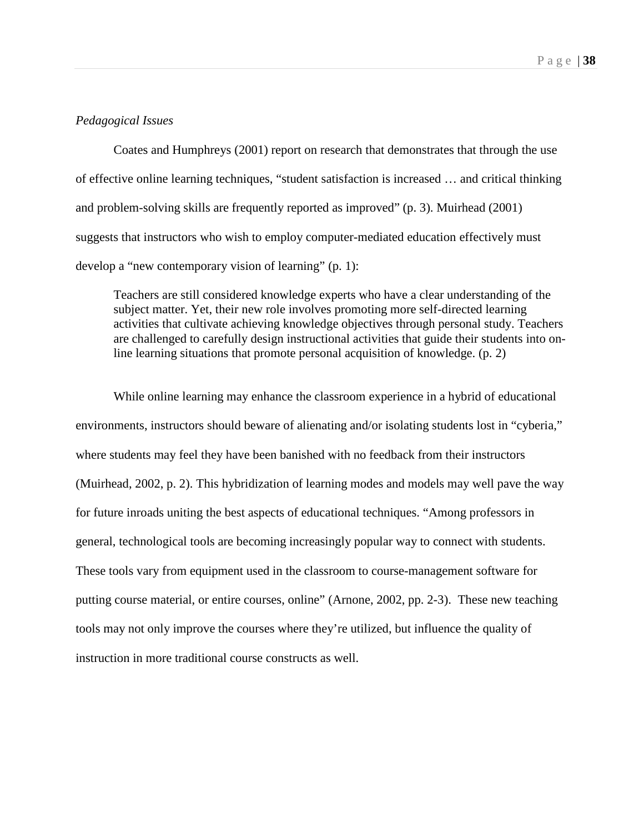### *Pedagogical Issues*

Coates and Humphreys (2001) report on research that demonstrates that through the use of effective online learning techniques, "student satisfaction is increased … and critical thinking and problem-solving skills are frequently reported as improved" (p. 3). Muirhead (2001) suggests that instructors who wish to employ computer-mediated education effectively must develop a "new contemporary vision of learning" (p. 1):

Teachers are still considered knowledge experts who have a clear understanding of the subject matter. Yet, their new role involves promoting more self-directed learning activities that cultivate achieving knowledge objectives through personal study. Teachers are challenged to carefully design instructional activities that guide their students into online learning situations that promote personal acquisition of knowledge. (p. 2)

While online learning may enhance the classroom experience in a hybrid of educational environments, instructors should beware of alienating and/or isolating students lost in "cyberia," where students may feel they have been banished with no feedback from their instructors (Muirhead, 2002, p. 2). This hybridization of learning modes and models may well pave the way for future inroads uniting the best aspects of educational techniques. "Among professors in general, technological tools are becoming increasingly popular way to connect with students. These tools vary from equipment used in the classroom to course-management software for putting course material, or entire courses, online" (Arnone, 2002, pp. 2-3). These new teaching tools may not only improve the courses where they're utilized, but influence the quality of instruction in more traditional course constructs as well.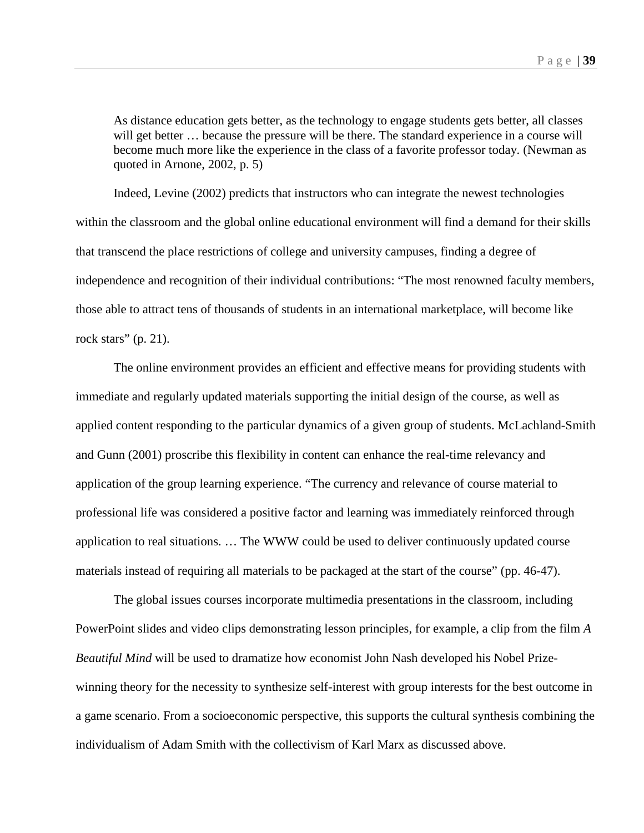As distance education gets better, as the technology to engage students gets better, all classes will get better ... because the pressure will be there. The standard experience in a course will become much more like the experience in the class of a favorite professor today. (Newman as quoted in Arnone, 2002, p. 5)

Indeed, Levine (2002) predicts that instructors who can integrate the newest technologies within the classroom and the global online educational environment will find a demand for their skills that transcend the place restrictions of college and university campuses, finding a degree of independence and recognition of their individual contributions: "The most renowned faculty members, those able to attract tens of thousands of students in an international marketplace, will become like rock stars" (p. 21).

The online environment provides an efficient and effective means for providing students with immediate and regularly updated materials supporting the initial design of the course, as well as applied content responding to the particular dynamics of a given group of students. McLachland-Smith and Gunn (2001) proscribe this flexibility in content can enhance the real-time relevancy and application of the group learning experience. "The currency and relevance of course material to professional life was considered a positive factor and learning was immediately reinforced through application to real situations. … The WWW could be used to deliver continuously updated course materials instead of requiring all materials to be packaged at the start of the course" (pp. 46-47).

The global issues courses incorporate multimedia presentations in the classroom, including PowerPoint slides and video clips demonstrating lesson principles, for example, a clip from the film *A Beautiful Mind* will be used to dramatize how economist John Nash developed his Nobel Prizewinning theory for the necessity to synthesize self-interest with group interests for the best outcome in a game scenario. From a socioeconomic perspective, this supports the cultural synthesis combining the individualism of Adam Smith with the collectivism of Karl Marx as discussed above.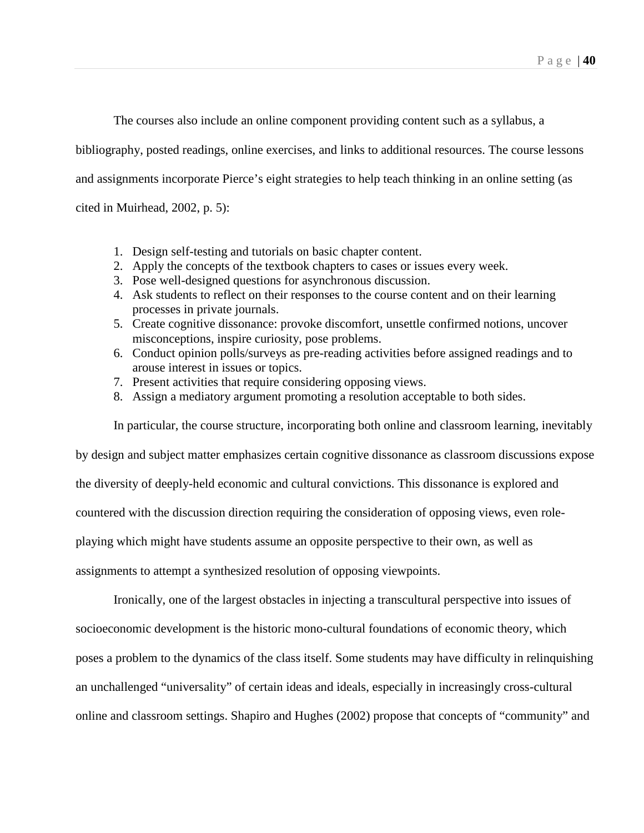The courses also include an online component providing content such as a syllabus, a

bibliography, posted readings, online exercises, and links to additional resources. The course lessons

and assignments incorporate Pierce's eight strategies to help teach thinking in an online setting (as

cited in Muirhead, 2002, p. 5):

- 1. Design self-testing and tutorials on basic chapter content.
- 2. Apply the concepts of the textbook chapters to cases or issues every week.
- 3. Pose well-designed questions for asynchronous discussion.
- 4. Ask students to reflect on their responses to the course content and on their learning processes in private journals.
- 5. Create cognitive dissonance: provoke discomfort, unsettle confirmed notions, uncover misconceptions, inspire curiosity, pose problems.
- 6. Conduct opinion polls/surveys as pre-reading activities before assigned readings and to arouse interest in issues or topics.
- 7. Present activities that require considering opposing views.
- 8. Assign a mediatory argument promoting a resolution acceptable to both sides.

In particular, the course structure, incorporating both online and classroom learning, inevitably

by design and subject matter emphasizes certain cognitive dissonance as classroom discussions expose the diversity of deeply-held economic and cultural convictions. This dissonance is explored and countered with the discussion direction requiring the consideration of opposing views, even roleplaying which might have students assume an opposite perspective to their own, as well as assignments to attempt a synthesized resolution of opposing viewpoints.

Ironically, one of the largest obstacles in injecting a transcultural perspective into issues of socioeconomic development is the historic mono-cultural foundations of economic theory, which poses a problem to the dynamics of the class itself. Some students may have difficulty in relinquishing an unchallenged "universality" of certain ideas and ideals, especially in increasingly cross-cultural online and classroom settings. Shapiro and Hughes (2002) propose that concepts of "community" and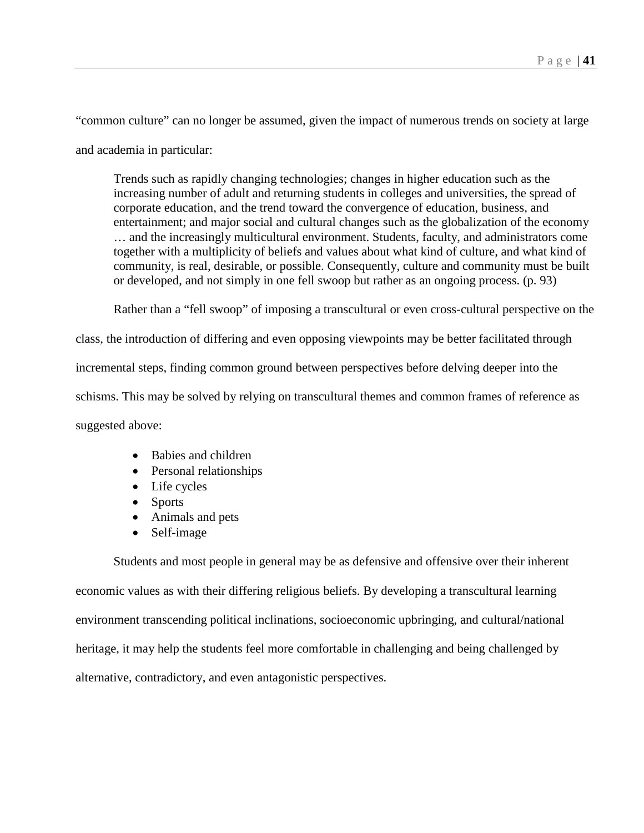"common culture" can no longer be assumed, given the impact of numerous trends on society at large and academia in particular:

Trends such as rapidly changing technologies; changes in higher education such as the increasing number of adult and returning students in colleges and universities, the spread of corporate education, and the trend toward the convergence of education, business, and entertainment; and major social and cultural changes such as the globalization of the economy … and the increasingly multicultural environment. Students, faculty, and administrators come together with a multiplicity of beliefs and values about what kind of culture, and what kind of community, is real, desirable, or possible. Consequently, culture and community must be built or developed, and not simply in one fell swoop but rather as an ongoing process. (p. 93)

Rather than a "fell swoop" of imposing a transcultural or even cross-cultural perspective on the

class, the introduction of differing and even opposing viewpoints may be better facilitated through

incremental steps, finding common ground between perspectives before delving deeper into the

schisms. This may be solved by relying on transcultural themes and common frames of reference as

suggested above:

- Babies and children
- Personal relationships
- Life cycles
- Sports
- Animals and pets
- Self-image

Students and most people in general may be as defensive and offensive over their inherent economic values as with their differing religious beliefs. By developing a transcultural learning environment transcending political inclinations, socioeconomic upbringing, and cultural/national heritage, it may help the students feel more comfortable in challenging and being challenged by alternative, contradictory, and even antagonistic perspectives.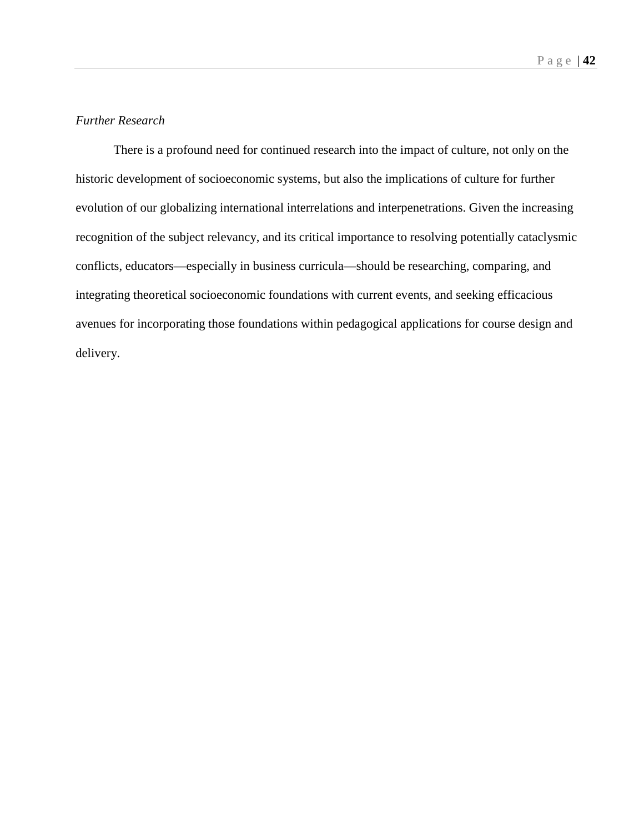### *Further Research*

There is a profound need for continued research into the impact of culture, not only on the historic development of socioeconomic systems, but also the implications of culture for further evolution of our globalizing international interrelations and interpenetrations. Given the increasing recognition of the subject relevancy, and its critical importance to resolving potentially cataclysmic conflicts, educators—especially in business curricula—should be researching, comparing, and integrating theoretical socioeconomic foundations with current events, and seeking efficacious avenues for incorporating those foundations within pedagogical applications for course design and delivery.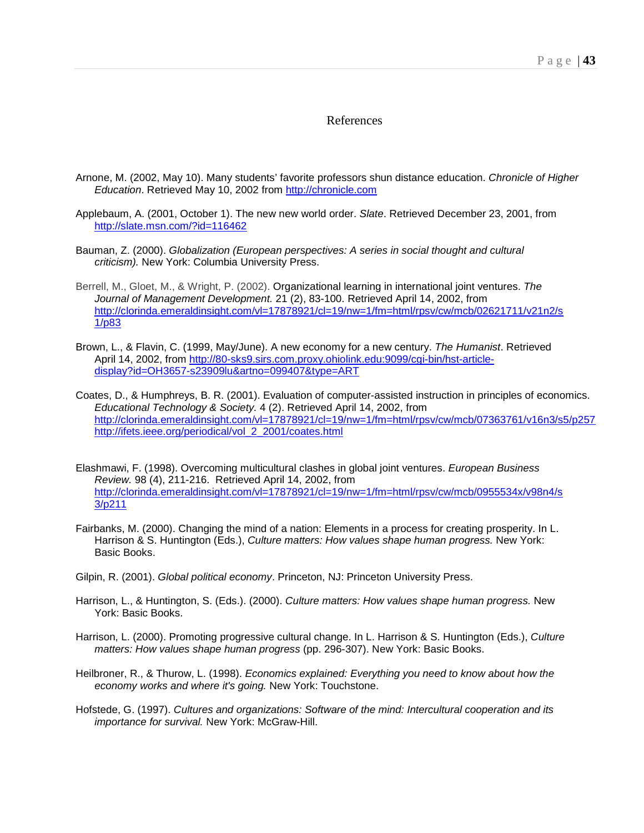#### References

- Arnone, M. (2002, May 10). Many students' favorite professors shun distance education. *Chronicle of Higher Education*. Retrieved May 10, 2002 from [http://chronicle.com](http://chronicle.com/)
- Applebaum, A. (2001, October 1). The new new world order. *Slate*. Retrieved December 23, 2001, from <http://slate.msn.com/?id=116462>
- Bauman, Z. (2000). *Globalization (European perspectives: A series in social thought and cultural criticism).* New York: Columbia University Press.
- Berrell, M., Gloet, M., & Wright, P. (2002). Organizational learning in international joint ventures. *The Journal of Management Development.* 21 (2), 83-100. Retrieved April 14, 2002, from [http://clorinda.emeraldinsight.com/vl=17878921/cl=19/nw=1/fm=html/rpsv/cw/mcb/02621711/v21n2/s](http://clorinda.emeraldinsight.com/vl=17878921/cl=19/nw=1/fm=html/rpsv/cw/mcb/02621711/v21n2/s1/p83) [1/p83](http://clorinda.emeraldinsight.com/vl=17878921/cl=19/nw=1/fm=html/rpsv/cw/mcb/02621711/v21n2/s1/p83)
- Brown, L., & Flavin, C. (1999, May/June). A new economy for a new century. *The Humanist*. Retrieved April 14, 2002, from [http://80-sks9.sirs.com.proxy.ohiolink.edu:9099/cgi-bin/hst-article](http://80-sks9.sirs.com.proxy.ohiolink.edu:9099/cgi-bin/hst-article-display?id=OH3657-s23909lu&artno=099407&type=ART)[display?id=OH3657-s23909lu&artno=099407&type=ART](http://80-sks9.sirs.com.proxy.ohiolink.edu:9099/cgi-bin/hst-article-display?id=OH3657-s23909lu&artno=099407&type=ART)
- Coates, D., & Humphreys, B. R. (2001). Evaluation of computer-assisted instruction in principles of economics. *Educational Technology & Society.* 4 (2). Retrieved April 14, 2002, from <http://clorinda.emeraldinsight.com/vl=17878921/cl=19/nw=1/fm=html/rpsv/cw/mcb/07363761/v16n3/s5/p257> [http://ifets.ieee.org/periodical/vol\\_2\\_2001/coates.html](http://clorinda.emeraldinsight.com/vl=17878921/cl=19/nw=1/fm=html/rpsv/cw/mcb/07363761/v16n3/s5/p257)
- Elashmawi, F. (1998). Overcoming multicultural clashes in global joint ventures. *European Business Review.* 98 (4), 211-216. Retrieved April 14, 2002, from [http://clorinda.emeraldinsight.com/vl=17878921/cl=19/nw=1/fm=html/rpsv/cw/mcb/0955534x/v98n4/s](http://clorinda.emeraldinsight.com/vl=17878921/cl=19/nw=1/fm=html/rpsv/cw/mcb/0955534x/v98n4/s3/p211) [3/p211](http://clorinda.emeraldinsight.com/vl=17878921/cl=19/nw=1/fm=html/rpsv/cw/mcb/0955534x/v98n4/s3/p211)
- Fairbanks, M. (2000). Changing the mind of a nation: Elements in a process for creating prosperity. In L. Harrison & S. Huntington (Eds.), *Culture matters: How values shape human progress.* New York: Basic Books.
- Gilpin, R. (2001). *Global political economy*. Princeton, NJ: Princeton University Press.
- Harrison, L., & Huntington, S. (Eds.). (2000). *Culture matters: How values shape human progress.* New York: Basic Books.
- Harrison, L. (2000). Promoting progressive cultural change. In L. Harrison & S. Huntington (Eds.), *Culture matters: How values shape human progress* (pp. 296-307). New York: Basic Books.
- Heilbroner, R., & Thurow, L. (1998). *Economics explained: Everything you need to know about how the economy works and where it's going.* New York: Touchstone.
- Hofstede, G. (1997). *Cultures and organizations: Software of the mind: Intercultural cooperation and its importance for survival.* New York: McGraw-Hill.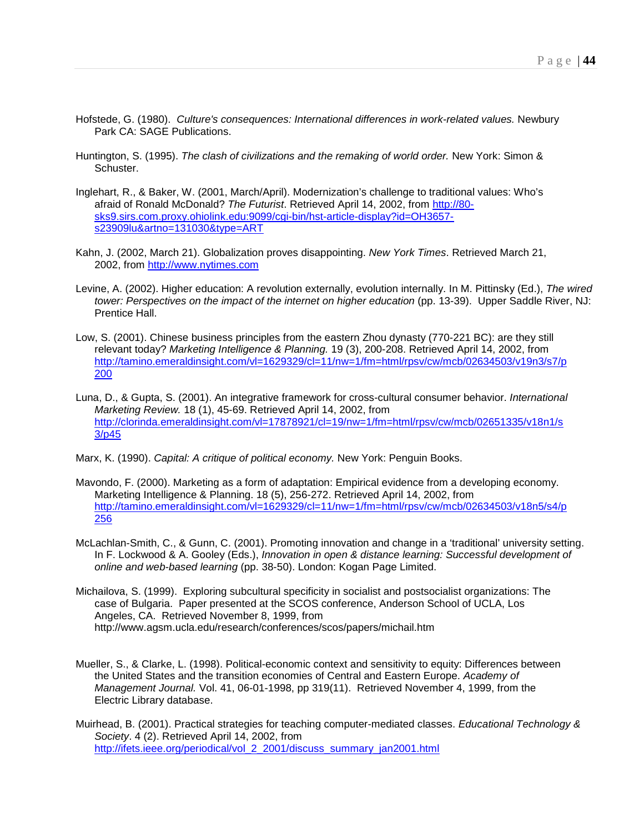- Hofstede, G. (1980). *Culture's consequences: International differences in work-related values.* Newbury Park CA: SAGE Publications.
- Huntington, S. (1995). *The clash of civilizations and the remaking of world order.* New York: Simon & Schuster.
- Inglehart, R., & Baker, W. (2001, March/April). Modernization's challenge to traditional values: Who's afraid of Ronald McDonald? *The Futurist*. Retrieved April 14, 2002, from [http://80](http://80-sks9.sirs.com.proxy.ohiolink.edu:9099/cgi-bin/hst-article-display?id=OH3657-s23909lu&artno=131030&type=ART) [sks9.sirs.com.proxy.ohiolink.edu:9099/cgi-bin/hst-article-display?id=OH3657](http://80-sks9.sirs.com.proxy.ohiolink.edu:9099/cgi-bin/hst-article-display?id=OH3657-s23909lu&artno=131030&type=ART) [s23909lu&artno=131030&type=ART](http://80-sks9.sirs.com.proxy.ohiolink.edu:9099/cgi-bin/hst-article-display?id=OH3657-s23909lu&artno=131030&type=ART)
- Kahn, J. (2002, March 21). Globalization proves disappointing. *New York Times*. Retrieved March 21, 2002, from [http://www.nytimes.com](http://www.nytimes.com/)
- Levine, A. (2002). Higher education: A revolution externally, evolution internally. In M. Pittinsky (Ed.), *The wired tower: Perspectives on the impact of the internet on higher education (pp. 13-39). Upper Saddle River, NJ:* Prentice Hall.
- Low, S. (2001). Chinese business principles from the eastern Zhou dynasty (770-221 BC): are they still relevant today? *Marketing Intelligence & Planning.* 19 (3), 200-208. Retrieved April 14, 2002, from [http://tamino.emeraldinsight.com/vl=1629329/cl=11/nw=1/fm=html/rpsv/cw/mcb/02634503/v19n3/s7/p](http://tamino.emeraldinsight.com/vl=1629329/cl=11/nw=1/fm=html/rpsv/cw/mcb/02634503/v19n3/s7/p200) [200](http://tamino.emeraldinsight.com/vl=1629329/cl=11/nw=1/fm=html/rpsv/cw/mcb/02634503/v19n3/s7/p200)
- Luna, D., & Gupta, S. (2001). An integrative framework for cross-cultural consumer behavior. *International Marketing Review.* 18 (1), 45-69. Retrieved April 14, 2002, from [http://clorinda.emeraldinsight.com/vl=17878921/cl=19/nw=1/fm=html/rpsv/cw/mcb/02651335/v18n1/s](http://clorinda.emeraldinsight.com/vl=17878921/cl=19/nw=1/fm=html/rpsv/cw/mcb/02651335/v18n1/s3/p45) [3/p45](http://clorinda.emeraldinsight.com/vl=17878921/cl=19/nw=1/fm=html/rpsv/cw/mcb/02651335/v18n1/s3/p45)
- Marx, K. (1990). *Capital: A critique of political economy.* New York: Penguin Books.
- Mavondo, F. (2000). Marketing as a form of adaptation: Empirical evidence from a developing economy. Marketing Intelligence & Planning. 18 (5), 256-272. Retrieved April 14, 2002, from [http://tamino.emeraldinsight.com/vl=1629329/cl=11/nw=1/fm=html/rpsv/cw/mcb/02634503/v18n5/s4/p](http://tamino.emeraldinsight.com/vl=1629329/cl=11/nw=1/fm=html/rpsv/cw/mcb/02634503/v18n5/s4/p256) [256](http://tamino.emeraldinsight.com/vl=1629329/cl=11/nw=1/fm=html/rpsv/cw/mcb/02634503/v18n5/s4/p256)
- McLachlan-Smith, C., & Gunn, C. (2001). Promoting innovation and change in a 'traditional' university setting. In F. Lockwood & A. Gooley (Eds.), *Innovation in open & distance learning: Successful development of online and web-based learning* (pp. 38-50). London: Kogan Page Limited.
- Michailova, S. (1999). Exploring subcultural specificity in socialist and postsocialist organizations: The case of Bulgaria. Paper presented at the SCOS conference, Anderson School of UCLA, Los Angeles, CA. Retrieved November 8, 1999, from http://www.agsm.ucla.edu/research/conferences/scos/papers/michail.htm
- Mueller, S., & Clarke, L. (1998). Political-economic context and sensitivity to equity: Differences between the United States and the transition economies of Central and Eastern Europe. *Academy of Management Journal.* Vol. 41, 06-01-1998, pp 319(11). Retrieved November 4, 1999, from the Electric Library database.
- Muirhead, B. (2001). Practical strategies for teaching computer-mediated classes. *Educational Technology & Society*. 4 (2). Retrieved April 14, 2002, from [http://ifets.ieee.org/periodical/vol\\_2\\_2001/discuss\\_summary\\_jan2001.html](http://ifets.ieee.org/periodical/vol_2_2001/discuss_summary_jan2001.html)